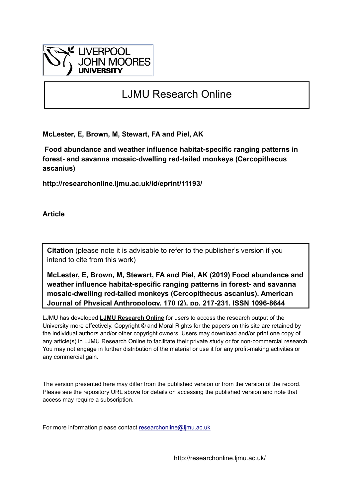

# LJMU Research Online

**McLester, E, Brown, M, Stewart, FA and Piel, AK**

 **Food abundance and weather influence habitat-specific ranging patterns in forest- and savanna mosaic-dwelling red-tailed monkeys (Cercopithecus ascanius)**

**http://researchonline.ljmu.ac.uk/id/eprint/11193/**

**Article**

**Citation** (please note it is advisable to refer to the publisher's version if you intend to cite from this work)

**McLester, E, Brown, M, Stewart, FA and Piel, AK (2019) Food abundance and weather influence habitat-specific ranging patterns in forest- and savanna mosaic-dwelling red-tailed monkeys (Cercopithecus ascanius). American Journal of Physical Anthropology, 170 (2). pp. 217-231. ISSN 1096-8644** 

LJMU has developed **[LJMU Research Online](http://researchonline.ljmu.ac.uk/)** for users to access the research output of the University more effectively. Copyright © and Moral Rights for the papers on this site are retained by the individual authors and/or other copyright owners. Users may download and/or print one copy of any article(s) in LJMU Research Online to facilitate their private study or for non-commercial research. You may not engage in further distribution of the material or use it for any profit-making activities or any commercial gain.

The version presented here may differ from the published version or from the version of the record. Please see the repository URL above for details on accessing the published version and note that access may require a subscription.

For more information please contact researchonline@limu.ac.uk

http://researchonline.ljmu.ac.uk/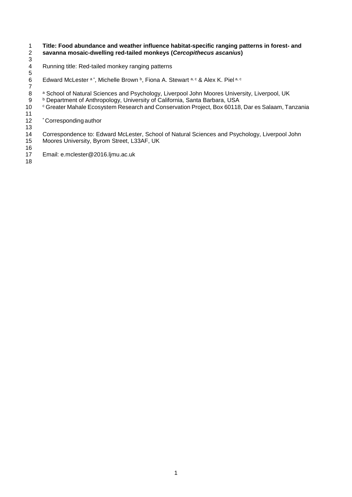# 1 **Title: Food abundance and weather influence habitat-specific ranging patterns in forest- and**  2 **savanna mosaic-dwelling red-tailed monkeys (***Cercopithecus ascanius***)** 3

- Running title: Red-tailed monkey ranging patterns
- 5 6 Edward McLester a\*, Michelle Brown b, Fiona A. Stewart a, c & Alex K. Piel a, c
- 7 8 a School of Natural Sciences and Psychology, Liverpool John Moores University, Liverpool, UK
- **b Department of Anthropology, University of California, Santa Barbara, USA**
- $\frac{9}{10}$ <sup>c</sup> Greater Mahale Ecosystem Research and Conservation Project, Box 60118, Dar es Salaam, Tanzania
- $\frac{11}{12}$ \* Corresponding author

13 14 Correspondence to: Edward McLester, School of Natural Sciences and Psychology, Liverpool John<br>15 Moores University, Byrom Street, L33AF, UK Moores University, Byrom Street, L33AF, UK

- 16
- 17 Email: e.mclester@2016.ljmu.ac.uk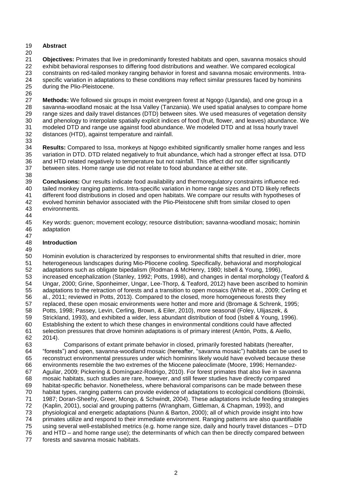## **Abstract**

 **Objectives:** Primates that live in predominantly forested habitats and open, savanna mosaics should exhibit behavioral responses to differing food distributions and weather. We compared ecological 23 constraints on red-tailed monkey ranging behavior in forest and savanna mosaic environments. Intra-<br>24 specific variation in adaptations to these conditions may reflect similar pressures faced by hominins 24 specific variation in adaptations to these conditions may reflect similar pressures faced by hominins 25 during the Plio-Pleistocene. during the Plio-Pleistocene.

 27 **Methods:** We followed six groups in moist evergreen forest at Ngogo (Uganda), and one group in a<br>28 Savanna-woodland mosaic at the Issa Valley (Tanzania). We used spatial analyses to compare hom savanna-woodland mosaic at the Issa Valley (Tanzania). We used spatial analyses to compare home 29 range sizes and daily travel distances (DTD) between sites. We used measures of vegetation density<br>30 and phenology to interpolate spatially explicit indices of food (fruit, flower, and leaves) abundance. We and phenology to interpolate spatially explicit indices of food (fruit, flower, and leaves) abundance. We 31 modeled DTD and range use against food abundance. We modeled DTD and at Issa hourly travel<br>32 distances (HTD), against temperature and rainfall. distances (HTD), against temperature and rainfall.

 **Results:** Compared to Issa, monkeys at Ngogo exhibited significantly smaller home ranges and less 35 variation in DTD. DTD related negatively to fruit abundance, which had a stronger effect at Issa. DTD<br>36 and HTD related negatively to temperature but not rainfall. This effect did not differ significantly and HTD related negatively to temperature but not rainfall. This effect did not differ significantly between sites. Home range use did not relate to food abundance at either site.

 **Conclusions:** Our results indicate food availability and thermoregulatory constraints influence red- tailed monkey ranging patterns. Intra-specific variation in home range sizes and DTD likely reflects 41 different food distributions in closed and open habitats. We compare our results with hypotheses of 42 evolved hominin behavior associated with the Plio-Pleistocene shift from similar closed to open evolved hominin behavior associated with the Plio-Pleistocene shift from similar closed to open environments.

44<br>45

45 Key words: guenon; movement ecology; resource distribution; savanna-woodland mosaic; hominin<br>46 adaptation adaptation

#### **Introduction**

49<br>50

50 Hominin evolution is characterized by responses to environmental shifts that resulted in drier, more 51 heterogeneous landscapes during Mio-Pliocene cooling. Specifically, behavioral and morphological 51 heterogeneous landscapes during Mio-Pliocene cooling. Specifically, behavioral and morphological<br>52 adaptations such as obligate bipedalism (Rodman & McHenry, 1980; Isbell & Young, 1996), adaptations such as obligate bipedalism (Rodman & McHenry, 1980; Isbell & Young, 1996), increased encephalization (Stanley, 1992; Potts, 1998), and changes in dental morphology (Teaford & Ungar, 2000; Grine, Sponheimer, Ungar, Lee-Thorp, & Teaford, 2012) have been ascribed to hominin adaptations to the retraction of forests and a transition to open mosaics (White et al., 2009; Cerling et al., 2011; reviewed in Potts, 2013). Compared to the closed, more homogeneous forests they replaced, these open mosaic environments were hotter and more arid (Bromage & Schrenk, 1995; Potts, 1998; Passey, Levin, Cerling, Brown, & Eiler, 2010), more seasonal (Foley, Ulijaszek, & Strickland, 1993), and exhibited a wider, less abundant distribution of food (Isbell & Young, 1996). Establishing the extent to which these changes in environmental conditions could have affected selection pressures that drove hominin adaptations is of primary interest (Antón, Potts, & Aiello, 2014).

63 Comparisons of extant primate behavior in closed, primarily forested habitats (hereafter, 64 forests") and open, savanna-woodland mosaic (hereafter, "savanna mosaic") habitats can be us "forests") and open, savanna-woodland mosaic (hereafter, "savanna mosaic") habitats can be used to reconstruct environmental pressures under which hominins likely would have evolved because these environments resemble the two extremes of the Miocene paleoclimate (Moore, 1996; Hernandez- Aguilar, 2009; Pickering & Domínguez-Rodrigo, 2010). For forest primates that also live in savanna mosaic habitats, such studies are rare, however, and still fewer studies have directly compared habitat-specific behavior. Nonetheless, where behavioral comparisons can be made between these habitat types, ranging patterns can provide evidence of adaptations to ecological conditions (Boinski, 1987; Doran-Sheehy, Greer, Mongo, & Schwindt, 2004). These adaptations include feeding strategies (Kaplin, 2001), social and grouping patterns (Wrangham, Gittleman, & Chapman, 1993), and physiological and energetic adaptations (Nunn & Barton, 2000); all of which provide insight into how primates utilize and respond to their immediate environment. Ranging patterns are also quantifiable using several well-established metrics (e.g. home range size, daily and hourly travel distances – DTD and HTD – and home range use); the determinants of which can then be directly compared between

forests and savanna mosaic habitats.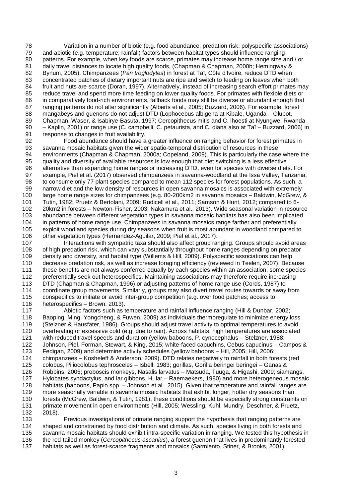78 Variation in a number of biotic (e.g. food abundance; predation risk; polyspecific associations)<br>79 and abiotic (e.g. temperature; rainfall) factors between habitat types should influence ranging and abiotic (e.g. temperature; rainfall) factors between habitat types should influence ranging 80 patterns. For example, when key foods are scarce, primates may increase home range size and / or 81 daily travel distances to locate high quality foods, (Chapman & Chapman, 2000b; Hemingway & 82 Bynum, 2005). Chimpanzees (Pan troglodytes) in forest at Taï, Côte d'Ivoire, reduce DTD when 82 Bynum, 2005). Chimpanzees (*Pan troglodytes*) in forest at Taï, Côte d'Ivoire, reduce DTD when 83 concentrated patches of dietary important nuts are ripe and switch to feeding on leaves when both<br>84 fruit and nuts are scarce (Doran, 1997). Alternatively, instead of increasing search effort primates n 84 fruit and nuts are scarce (Doran, 1997). Alternatively, instead of increasing search effort primates may<br>85 reduce travel and spend more time feeding on lower quality foods. For primates with flexible diets or 85 reduce travel and spend more time feeding on lower quality foods. For primates with flexible diets or<br>86 in comparatively food-rich environments, fallback foods may still be diverse or abundant enough that 86 in comparatively food-rich environments, fallback foods may still be diverse or abundant enough that 87 ranging patterns do not alter significantly (Alberts et al., 2005; Buzzard, 2006). For example, forest 87 ranging patterns do not alter significantly (Alberts et al., 2005; Buzzard, 2006). For example, forest 88 manaabevs and quenons do not adiust DTD (Lophocebus albigena at Kibale. Uganda – Olupot. 88 mangabeys and guenons do not adjust DTD (Lophocebus albigena at Kibale, Uganda – Olupot, 89 Chapman, Waser, & Isabirve-Basuta, 1997; Cercopithecus mitis and C. Ihoesti at Nyungwe, Rwa 89 Chapman, Waser, & Isabirye-Basuta, 1997; Cercopithecus mitis and C. lhoesti at Nyungwe, Rwanda 90 – Kaplin, 2001) or range use (C. campbelli, C. petaurista, and C. diana also at Taï – Buzzard, 2006) in

91 response to changes in fruit availability.<br>92 Food abundance should have a Food abundance should have a greater influence on ranging behavior for forest primates in 93 savanna mosaic habitats given the wider spatio-temporal distribution of resources in these 94 environments (Chapman & Chapman, 2000a; Copeland, 2009). This is particularly the case where the 95 quality and diversity of available resources is low enough that diet switching is a less effective 95 quality and diversity of available resources is low enough that diet switching is a less effective<br>96 alternative than expanding home ranges or increasing DTD, even for species with diverse diets 96 alternative than expanding home ranges or increasing DTD, even for species with diverse diets. For<br>97 example, Piel et al. (2017) observed chimpanzees in savanna-woodland at the Issa Valley, Tanzania 97 example, Piel et al. (2017) observed chimpanzees in savanna-woodland at the Issa Valley, Tanzania,<br>98 to consume only 77 plant species compared to mean 112 species for forest populations. As such, a to consume only 77 plant species compared to mean 112 species for forest populations. As such, a 99 narrow diet and the low density of resources in open savanna mosaics is associated with extremely 100 large home range sizes for chimpanzees (e.g. 80-200km2 in savanna mosaics – Baldwin, McGrew, & 101 Tutin, 1982; Pruetz & Bertolani, 2009; Rudicell et al., 2011; Samson & Hunt, 2012; compared to 6- 102 20km2 in forests – Newton-Fisher, 2003; Nakamura et al., 2013). Wide seasonal variation in resource 103 abundance between different vegetation types in savanna mosaic habitats has also been implicated<br>104 in patterns of home range use. Chimpanzees in savanna mosaics range farther and preferentially 104 in patterns of home range use. Chimpanzees in savanna mosaics range farther and preferentially<br>105 exploit woodland species during dry seasons when fruit is most abundant in woodland compared to 105 exploit woodland species during dry seasons when fruit is most abundant in woodland compared to<br>106 other vegetation types (Hernandez-Aguilar, 2009; Piel et al., 2017). 106 other vegetation types (Hernandez-Aguilar, 2009; Piel et al., 2017).<br>107 lnteractions with sympatric taxa should also affect group ra

107 Interactions with sympatric taxa should also affect group ranging. Groups should avoid areas<br>108 of high predation risk, which can vary substantially throughout home ranges depending on predator of high predation risk, which can vary substantially throughout home ranges depending on predator 109 density and diversity, and habitat type (Willems & Hill, 2009). Polyspecific associations can help<br>110 decrease predation risk, as well as increase foraging efficiency (reviewed in Teelen, 2007). Beca decrease predation risk, as well as increase foraging efficiency (reviewed in Teelen, 2007). Because 111 these benefits are not always conferred equally by each species within an association, some species 112 preferentially seek out heterospecifics. Maintaining associations may therefore require increasing<br>113 DTD (Chapman & Chapman, 1996) or adiusting patterns of home range use (Cords, 1987) to 113 DTD (Chapman & Chapman, 1996) or adjusting patterns of home range use (Cords, 1987) to 114 coordinate group movements. Similarly, groups may also divert travel routes towards or away from 115 conspecifics to initiate or avoid inter-group competition (e.g. over food patches; access to 116 heterospecifics – Brown, 2013).

 Abiotic factors such as temperature and rainfall influence ranging (Hill & Dunbar, 2002; Baoping, Ming, Yongcheng, & Fuwen, 2009) as individuals thermoregulate to minimize energy loss (Stelzner & Hausfater, 1986). Groups should adjust travel activity to optimal temperatures to avoid overheating or excessive cold (e.g. due to rain). Across habitats, high temperatures are associated with reduced travel speeds and duration (yellow baboons, P. cynocephalus – Stelzner, 1988; 122 Johnson, Piel, Forman, Stewart, & King, 2015; white-faced capuchins, Cebus capucinus – Campos & 123<br>123 Fedigan, 2009) and determine activity schedules (yellow baboons – Hill, 2005; Hill, 2006; Fedigan, 2009) and determine activity schedules (yellow baboons - Hill, 2005; Hill, 2006; 124 chimpanzees – Kosheleff & Anderson, 2009). DTD relates negatively to rainfall in both forests (red<br>125 colobus. Piliocolobus tephrosceles – Isbell. 1983: gorillas. Gorilla beringei beringei – Ganas & colobus, Piliocolobus tephrosceles – Isbell, 1983; gorillas, Gorilla beringei beringei – Ganas & Robbins, 2005; proboscis monkeys, Nasalis larvatus – Matsuda, Tuuga, & Higashi, 2009; siamangs, Hylobates syndactylus, and lar gibbons, H. lar – Raemaekers, 1980) and more heterogeneous mosaic habitats (baboons, Papio spp. – Johnson et al., 2015). Given that temperature and rainfall ranges are more seasonally variable in savanna mosaic habitats that exhibit longer, hotter dry seasons than forests (McGrew, Baldwin, & Tutin, 1981), these conditions should be especially strong constraints on primate movement in open environments (Hill, 2005; Wessling, Kuhl, Mundry, Deschner, & Pruetz, 132 2018).

 Previous investigations of primate ranging support the hypothesis that ranging patterns are shaped and constrained by food distribution and climate. As such, species living in both forests and savanna mosaic habitats should exhibit intra-specific variation in ranging. We tested this hypothesis in the red-tailed monkey (*Cercopithecus ascanius*), a forest guenon that lives in predominantly forested habitats as well as forest-scarce fragments and mosaics (Sarmiento, Stiner, & Brooks, 2001).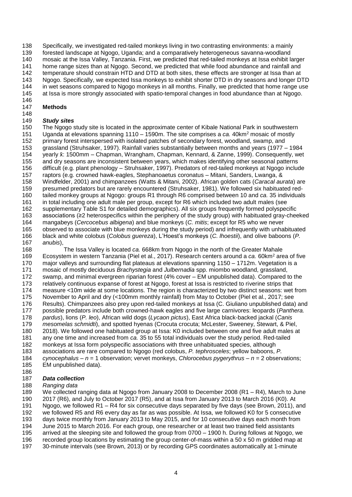Specifically, we investigated red-tailed monkeys living in two contrasting environments: a mainly

forested landscape at Ngogo, Uganda; and a comparatively heterogeneous savanna-woodland

mosaic at the Issa Valley, Tanzania. First, we predicted that red-tailed monkeys at Issa exhibit larger

141 home range sizes than at Ngogo. Second, we predicted that while food abundance and rainfall and<br>142 temperature should constrain HTD and DTD at both sites, these effects are stronger at Issa than at temperature should constrain HTD and DTD at both sites, these effects are stronger at Issa than at

143 Ngogo. Specifically, we expected Issa monkeys to exhibit shorter DTD in dry seasons and longer DTD<br>144 in wet seasons compared to Ngogo monkeys in all months. Finally, we predicted that home range use

144 in wet seasons compared to Ngogo monkeys in all months. Finally, we predicted that home range use<br>145 at Issa is more strongly associated with spatio-temporal changes in food abundance than at Ngogo. at Issa is more strongly associated with spatio-temporal changes in food abundance than at Ngogo.

#### 146<br>147 **Methods**

# 148<br>149

## **Study sites**

150 The Ngogo study site is located in the approximate center of Kibale National Park in southwestern<br>151 Uganda at elevations spanning 1110 – 1590m. The site comprises a ca. 40km<sup>2</sup> mosaic of mostly 151 Uganda at elevations spanning 1110 – 1590m. The site comprises a *ca.* 40km<sup>2</sup> mosaic of mostly 152 primary forest interspersed with isolated patches of secondary forest, woodland, swamp, and primary forest interspersed with isolated patches of secondary forest, woodland, swamp, and grassland (Struhsaker, 1997). Rainfall varies substantially between months and years (1977 – 1984 154 yearly x̄: 1500mm – Chapman, Wrangham, Chapman, Kennard, & Zanne, 1999). Consequently, wet<br>155 and dry seasons are inconsistent between years, which makes identifying other seasonal patterns and dry seasons are inconsistent between years, which makes identifying other seasonal patterns difficult (e.g. plant phenology – Struhsaker, 1997). Predators of red-tailed monkeys at Ngogo include 157 raptors (e.g. crowned hawk-eagles, Stephanoaetus coronatus – Mitani, Sanders, Lwanga, &<br>158 Windfelder, 2001) and chimpanzees (Watts & Mitani, 2002). African golden cats (Caracal aur Windfelder, 2001) and chimpanzees (Watts & Mitani, 2002). African golden cats (*Caracal aurata*) are presumed predators but are rarely encountered (Struhsaker, 1981). We followed six habituated red- tailed monkey groups at Ngogo: groups R1 through R6 comprised between 10 and *ca.* 35 individuals in total including one adult male per group, except for R6 which included two adult males (see supplementary Table S1 for detailed demographics). All six groups frequently formed polyspecific 163 associations (≥2 heterospecifics within the periphery of the study group) with habituated gray-cheeked<br>164 mangabeys (Cercocebus albigena) and blue monkeys (C. mitis; except for R5 who we never mangabeys (*Cercocebus albigena*) and blue monkeys (*C. mitis*; except for R5 who we never 165 observed to associate with blue monkeys during the study period) and infrequently with unhabituated<br>166 black and white colobus (Colobus guereza), L'Hoest's monkeys (C. lhoestii), and olive baboons (P. black and white colobus (*Colobus guereza*), L'Hoest's monkeys (*C. lhoestii*), and olive baboons (*P.* 

 *anubis*), The Issa Valley is located *ca.* 668km from Ngogo in the north of the Greater Mahale 169 Ecosystem in western Tanzania (Piel et al., 2017). Research centers around a *ca.* 60km<sup>2</sup> area of five major valleys and surrounding flat plateaus at elevations spanning 1150 – 1712m. Vegetation is a mosaic of mostly deciduous *Brachystegia* and *Julbernadia* spp. miombo woodland, grassland, 172 swamp, and minimal evergreen riparian forest (4% cover – EM unpublished data). Compared to the 173 relatively continuous expanse of forest at Ngogo. forest at Issa is restricted to riverine strips that relatively continuous expanse of forest at Ngogo, forest at Issa is restricted to riverine strips that measure <10m wide at some locations. The region is characterized by two distinct seasons: wet from November to April and dry (<100mm monthly rainfall) from May to October (Piel et al., 2017; see Results). Chimpanzees also prey upon red-tailed monkeys at Issa (C. Giuliano unpublished data) and possible predators include both crowned-hawk eagles and five large carnivores: leopards (*Panthera. pardus*), lions (*P. leo*), African wild dogs (*Lycaon pictus*), East Africa black-backed jackal (*Canis mesomelas schmidti*), and spotted hyenas (Crocuta crocuta; McLester, Sweeney, Stewart, & Piel, 2018). We followed one habituated group at Issa: K0 included between one and five adult males at any one time and increased from *ca.* 35 to 55 total individuals over the study period. Red-tailed monkeys at Issa form polyspecific associations with three unhabituated species, although associations are rare compared to Ngogo (red colobus, *P. tephrosceles*; yellow baboons, *P. cynocephalus* – *n* = 1 observation; vervet monkeys, *Chlorocebus pygerythrus* – *n* = 2 observations;

EM unpublished data).

#### *Data collection*

*Ranging data*

We collected ranging data at Ngogo from January 2008 to December 2008 (R1 – R4), March to June

2017 (R6), and July to October 2017 (R5), and at Issa from January 2013 to March 2016 (K0). At

- Ngogo, we followed R1 R4 for six consecutive days separated by five days (see Brown, 2011), and
- we followed R5 and R6 every day as far as was possible. At Issa, we followed K0 for 5 consecutive
- days twice monthly from January 2013 to May 2015, and for 10 consecutive days each month from June 2015 to March 2016. For each group, one researcher or at least two trained field assistants
- 
- arrived at the sleeping site and followed the group from 0700 1900 h. During follows at Ngogo, we recorded group locations by estimating the group center-of-mass within a 50 x 50 m gridded map at
- 30-minute intervals (see Brown, 2013) or by recording GPS coordinates automatically at 1-minute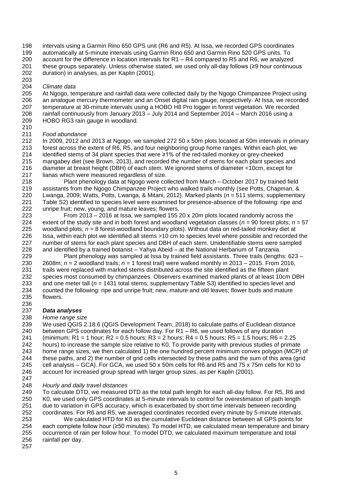intervals using a Garmin Rino 650 GPS unit (R6 and R5). At Issa, we recorded GPS coordinates automatically at 5-minute intervals using Garmin Rino 650 and Garmin Rino 520 GPS units. To

 account for the difference in location intervals for R1 – R4 compared to R5 and R6, we analyzed these groups separately. Unless otherwise stated, we used only all-day follows (≥9 hour continuous

- duration) in analyses, as per Kaplin (2001).
- 203<br>204

 *Climate data* 205 At Ngogo, temperature and rainfall data were collected daily by the Ngogo Chimpanzee Project using<br>206 an analogue mercury thermometer and an Onset digital rain gauge, respectively. At Issa, we recorded 206 an analogue mercury thermometer and an Onset digital rain gauge, respectively. At Issa, we recorded 207 temperature at 30-minute intervals using a HOBO H8 Pro logger in forest vegetation. We recorded temperature at 30-minute intervals using a HOBO H8 Pro logger in forest vegetation. We recorded 208 rainfall continuously from January 2013 – July 2014 and September 2014 – March 2016 using a<br>209 HOBO RG3 rain gauge in woodland. HOBO RG3 rain gauge in woodland.

- 
- 210<br>211

 *Food abundance* In 2009, 2012 and 2013 at Ngogo, we sampled 272 50 x 50m plots located at 50m intervals in primary forest across the extent of R6, R5, and four neighboring group home ranges. Within each plot, we identified stems of 34 plant species that were ≥1% of the red-tailed monkey or grey-cheeked mangabey diet (see Brown, 2013), and recorded the number of stems for each plant species and diameter at breast height (DBH) of each stem. We ignored stems of diameter <10cm, except for 217 lianas which were measured regardless of size.<br>218 Plant phenology data at Ngogo were co

Plant phenology data at Ngogo were collected from March – October 2017 by trained field assistants from the Ngogo Chimpanzee Project who walked trails monthly (see Potts, Chapman, & Lwanga, 2009; Watts, Potts, Lwanga, & Mitani, 2012). Marked plants (*n* = 511 stems; supplementary Table S2) identified to species level were examined for presence-absence of the following: ripe and unripe fruit; new, young, and mature leaves; flowers.

223 From 2013 – 2016 at Issa, we sampled 155 20 x 20m plots located randomly across the 224 extent of the study site and in both forest and woodland vegetation classes ( $n = 90$  forest plots:  $r$ 224 extent of the study site and in both forest and woodland vegetation classes ( $n = 90$  forest plots;  $n = 57$ <br>225 woodland plots;  $n = 8$  forest-woodland boundary plots). Without data on red-tailed monkey diet at 225 woodland plots;  $n = 8$  forest-woodland boundary plots). Without data on red-tailed monkey diet at 226 Issa, within each plot we identified all stems  $>10$  cm to species level where possible and recorded 226 Issa, within each plot we identified all stems >10 cm to species level where possible and recorded the 227 number of stems for each plant species and DBH of each stem. Unidentifiable stems were sampled number of stems for each plant species and DBH of each stem. Unidentifiable stems were sampled and identified by a trained botanist – Yahya Abeid – at the National Herbarium of Tanzania.

229 Plant phenology was sampled at Issa by trained field assistants. Three trails (lengths: 623 – 230 – 2608m;  $n = 2$  woodland trails;  $n = 1$  forest trail) were walked monthly in 2013 – 2015. From 2016, 2608m; *n =* 2 woodland trails; *n =* 1 forest trail) were walked monthly in 2013 – 2015. From 2016, trails were replaced with marked stems distributed across the site identified as the fifteen plant 232 species most consumed by chimpanzees. Observers examined marked plants of at least 10cm DBH<br>233 and one meter tall ( $n = 1431$  total stems: supplementary Table S3) identified to species level and and one meter tall (*n* = 1431 total stems; supplementary Table S3) identified to species level and counted the following: ripe and unripe fruit; new, mature and old leaves; flower buds and mature flowers.

#### 236<br>237 **Data analyses**

### *Home range size*

 We used QGIS 2.18.6 (QGIS Development Team, 2018) to calculate paths of Euclidean distance between GPS coordinates for each follow day. For R1 – R6, we used follows of any duration 241 (minimum: R1 = 1 hour; R2 = 0.5 hours; R3 = 2 hours; R4 = 0.5 hours; R5 = 1.5 hours; R6 = 2.25 hours) to increase the sample size relative to K0. To provide parity with previous studies of primate home range sizes, we then calculated 1) the one hundred percent minimum convex polygon (MCP) of these paths, and 2) the number of grid cells intersected by these paths and the sum of this area (grid cell analysis – GCA). For GCA, we used 50 x 50m cells for R6 and R5 and 75 x 75m cells for K0 to account for increased group spread with larger group sizes, as per Kaplin (2001).

- 
- *Hourly and daily travel distances*

 To calculate DTD, we measured DTD as the total path length for each all-day follow. For R5, R6 and K0, we used only GPS coordinates at 5-minute intervals to control for overestimation of path length due to variation in GPS accuracy, which is exacerbated by short time intervals between recording

 coordinates. For R6 and R5, we averaged coordinates recorded every minute by 5-minute intervals. We calculated HTD for K0 as the cumulative Euclidean distance between all GPS points for

 each complete follow hour (≥50 minutes). To model HTD, we calculated mean temperature and binary occurrence of rain per follow hour. To model DTD, we calculated maximum temperature and total rainfall per day.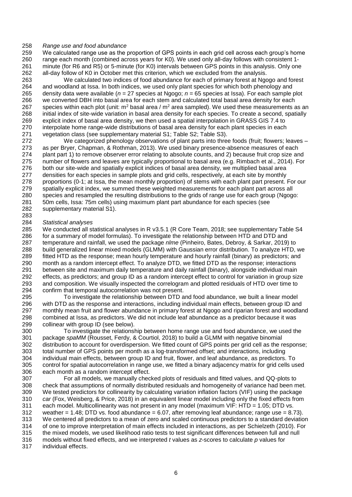# 258 *Range use and food abundance*

We calculated range use as the proportion of GPS points in each grid cell across each group's home 260 range each month (combined across years for K0). We used only all-day follows with consistent 1- 261 minute (for R6 and R5) or 5-minute (for K0) intervals between GPS points in this analysis. Only one 262 all-day follow of K0 in October met this criterion, which we excluded from the analysis. all-day follow of K0 in October met this criterion, which we excluded from the analysis.

263 We calculated two indices of food abundance for each of primary forest at Ngogo and forest 264 and woodland at Issa. In both indices, we used only plant species for which both phenology and 264 and woodland at Issa. In both indices, we used only plant species for which both phenology and 265 density data were available  $(n = 27$  species at Ngogo;  $n = 65$  species at Issa). For each sample 265 density data were available ( $n = 27$  species at Ngogo;  $n = 65$  species at Issa). For each sample plot 266 we converted DBH into basal area for each stem and calculated total basal area density for each we converted DBH into basal area for each stem and calculated total basal area density for each 267 species within each plot (unit:  $m^2$  basal area /  $m^2$  area sampled). We used these measurements as an 268 initial index of site-wide variation in basal area density for each species. To create a second, spatially 269 explicit index of basal area density, we then used a spatial interpolation in GRASS GIS 7.4 to 269 explicit index of basal area density, we then used a spatial interpolation in GRASS GIS 7.4 to 270 interpolate home range-wide distributions of basal area density for each plant species in each 271 vegetation class (see supplementary material S1: Table S2: Table S3). 271 vegetation class (see supplementary material S1; Table S2; Table S3).<br>272 Ve categorized phenology observations of plant parts into three

We categorized phenology observations of plant parts into three foods (fruit; flowers; leaves – as per Bryer, Chapman, & Rothman, 2013). We used binary presence-absence measures of each 274 plant part 1) to remove observer error relating to absolute counts, and 2) because fruit crop size and<br>275 number of flowers and leaves are typically proportional to basal area (e.g. Rimbach et al., 2014). For number of flowers and leaves are typically proportional to basal area (e.g. Rimbach et al., 2014). For both our site-wide and spatially explicit indices of basal area density, we multiplied basal area 277 densities for each species in sample plots and grid cells, respectively, at each site by monthly 278 proportions (0-1; at lssa, the mean monthly proportion) of stems with each plant part present. proportions (0-1; at Issa, the mean monthly proportion) of stems with each plant part present. For our spatially explicit index, we summed these weighted measurements for each plant part across all species and resampled the resulting distributions to the grids of range use for each group (Ngogo: 50m cells, Issa: 75m cells) using maximum plant part abundance for each species (see supplementary material S1).

# 283 284 *Statistical analyses*

285 We conducted all statistical analyses in R v3.5.1 (R Core Team, 2018; see supplementary Table S4<br>286 for a summary of model formulas). To investigate the relationship between HTD and DTD and 286 for a summary of model formulas). To investigate the relationship between HTD and DTD and 287 temperature and rainfall, we used the package *nlme* (Pinheiro, Bates, Debroy, & Sarkar, 2019) 287 temperature and rainfall, we used the package *nlme* (Pinheiro, Bates, Debroy, & Sarkar, 2019) to 288 build generalized linear mixed models (GLMM) with Gaussian error distribution. To analyze HTD, we 289 fitted HTD as the response; mean hourly temperature and hourly rainfall (binary) as predictors; and 290 month as a random intercept effect. To analyze DTD, we fitted DTD as the response: interactions month as a random intercept effect. To analyze DTD, we fitted DTD as the response; interactions 291 between site and maximum daily temperature and daily rainfall (binary), alongside individual main 292 effects, as predictors; and group ID as a random intercept effect to control for variation in group size<br>293 and composition. We visually inspected the correlogram and plotted residuals of HTD over time to and composition. We visually inspected the correlogram and plotted residuals of HTD over time to 294 confirm that temporal autocorrelation was not present.

295 To investigate the relationship between DTD and food abundance, we built a linear model 296 with DTD as the response and interactions, including individual main effects, between group ID and 297 monthly mean fruit and flower abundance in primary forest at Ngogo and riparian forest and woodlar 297 monthly mean fruit and flower abundance in primary forest at Ngogo and riparian forest and woodland<br>298 combined at Issa, as predictors. We did not include leaf abundance as a predictor because it was combined at Issa, as predictors. We did not include leaf abundance as a predictor because it was 299 collinear with group ID (see below).

300 To investigate the relationship between home range use and food abundance, we used the 301 package *spaMM* (Rousset, Ferdy, & Courtiol, 2018) to build a GLMM with negative binomial 302 distribution to account for overdispersion. We fitted count of GPS points per grid cell as the response;<br>303 total number of GPS points per month as a log-transformed offset; and interactions, including total number of GPS points per month as a log-transformed offset; and interactions, including 304 individual main effects, between group ID and fruit, flower, and leaf abundance, as predictors. To 305 control for spatial autocorrelation in range use, we fitted a binary adjacency matrix for grid cells used<br>306 each month as a random intercept effect. each month as a random intercept effect.

 For all models, we manually checked plots of residuals and fitted values, and QQ-plots to check that assumptions of normally distributed residuals and homogeneity of variance had been met. We tested predictors for collinearity by calculating variation inflation factors (VIF) using the package *car* (Fox, Weisberg, & Price, 2018) in an equivalent linear model including only the fixed effects from each model. Multicollinearity was not present in any model (maximum VIF: HTD = 1.05; DTD vs. 312 weather = 1.48; DTD vs. food abundance =  $6.07$ , after removing leaf abundance; range use =  $8.73$ ). We centered all predictors to a mean of zero and scaled continuous predictors to a standard deviation of one to improve interpretation of main effects included in interactions, as per Schielzeth (2010). For the mixed models, we used likelihood ratio tests to test significant differences between full and null models without fixed effects, and we interpreted *t* values as *z*-scores to calculate *p* values for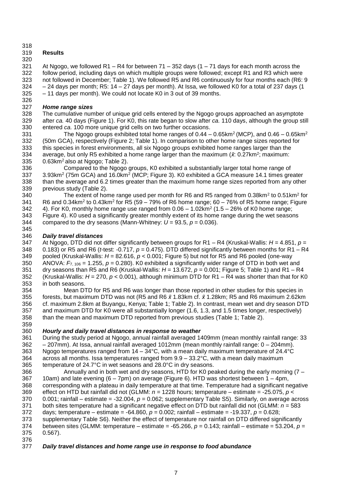### 

## **Results**

 At Ngogo, we followed R1 – R4 for between 71 – 352 days (1 – 71 days for each month across the follow period, including days on which multiple groups were followed; except R1 and R3 which were 323 not followed in December; Table 1). We followed R5 and R6 continuously for four months each (R6: 9<br>324 - 24 days per month; R5: 14 – 27 days per month). At Issa, we followed K0 for a total of 237 days (1  $324 - 24$  days per month; R5: 14 – 27 days per month). At Issa, we followed K0 for a total of 237 days (1<br> $325 - 11$  days per month). We could not locate K0 in 3 out of 39 months. - 11 days per month). We could not locate K0 in 3 out of 39 months.

#### *Home range sizes*

 The cumulative number of unique grid cells entered by the Ngogo groups approached an asymptote after *ca.* 40 days (Figure 1). For K0, this rate began to slow after *ca.* 110 days, although the group still entered *ca.* 100 more unique grid cells on two further occasions.

331 The Ngogo groups exhibited total home ranges of  $0.44 - 0.65$  km<sup>2</sup> (MCP), and  $0.46 - 0.65$  km<sup>2</sup> 332 (50m GCA), respectively (Figure 2: Table 1), In comparison to other home range sizes reported for (50m GCA), respectively (Figure 2; Table 1). In comparison to other home range sizes reported for this species in forest environments, all six Ngogo groups exhibited home ranges larger than the average, but only R5 exhibited a home range larger than the maximum ( $\bar{x}$ : 0.27km<sup>2</sup>; maximum: 335  $\cdot$  0.63km<sup>2</sup> also at Ngogo; Table 2). 0.63km<sup>2</sup> also at Ngogo; Table 2).

 Compared to the Ngogo groups, K0 exhibited a substantially larger total home range of  $3.93$ km<sup>2</sup> (75m GCA) and 16.0km<sup>2</sup> (MCP; Figure 3). K0 exhibited a GCA measure 14.1 times greater than the average and 6.2 times greater than the maximum home range sizes reported from any other previous study (Table 2).

340 The extent of home range used per month for R6 and R5 ranged from 0.38km<sup>2</sup> to 0.51km<sup>2</sup> for  $\;\;\;$  R6 and 0.34km $^2$  to 0.43km $^2$  for R5 (59 – 79% of R6 home range; 60 – 76% of R5 home range; Figure 342  $\phantom{1}$  4). For K0, monthly home range use ranged from 0.06 – 1.02 km<sup>2</sup> (1.5 – 26% of K0 home range; 343 Figure 4). K0 used a significantly greater monthly extent of its home range during the wet seasons 344 compared to the dry seasons (Mann-Whitney:  $U = 93.5$ .  $p = 0.036$ ). compared to the dry seasons (Mann-Whitney:  $U = 93.5$ ,  $p = 0.036$ ).

# 345<br>346

 *Daily travel distances* At Ngogo, DTD did not differ significantly between groups for R1 – R4 (Kruskal-Wallis: *H* = 4.851, *p* = 0.183) or R5 and R6 (*t*-test: -0.717, *p* = 0.475). DTD differed significantly between months for R1 – R4 pooled (Kruskal-Wallis: *H* = 82.616, *p* < 0.001; Figure 5) but not for R5 and R6 pooled (one-way 350 ANOVA:  $F_{7, 106}$  = 1.255,  $p$  = 0.280). K0 exhibited a significantly wider range of DTD in both wet and 351 dry seasons than R5 and R6 (Kruskal-Wallis:  $H = 13.672$ .  $p = 0.001$ : Figure 5: Table 1) and R1 – R dry seasons than R5 and R6 (Kruskal-Wallis: *H* = 13.672, *p* = 0.001; Figure 5; Table 1) and R1 – R4 (Kruskal-Wallis: *H* = 270, *p* < 0.001), although minimum DTD for R1 – R4 was shorter than that for K0 in both seasons.

 Mean DTD for R5 and R6 was longer than those reported in other studies for this species in forests, but maximum DTD was not (R5 and R6 *x̄* 1.83km cf. *x̄* 1.28km; R5 and R6 maximum 2.62km cf. maximum 2.8km at Buyangu, Kenya; Table 1; Table 2). In contrast, mean wet and dry season DTD and maximum DTD for K0 were all substantially longer (1.6, 1.3, and 1.5 times longer, respectively) than the mean and maximum DTD reported from previous studies (Table 1; Table 2).

### *Hourly and daily travel distances in response to weather*

 During the study period at Ngogo, annual rainfall averaged 1409mm (mean monthly rainfall range: 33 – 207mm). At Issa, annual rainfall averaged 1012mm (mean monthly rainfall range: 0 – 204mm). Ngogo temperatures ranged from 14 – 34°C, with a mean daily maximum temperature of 24.4°C across all months. Issa temperatures ranged from 9.9 – 33.2°C, with a mean daily maximum temperature of 24.7°C in wet seasons and 28.0°C in dry seasons.

 Annually and in both wet and dry seasons, HTD for K0 peaked during the early morning (7 – 367 10am) and late evening  $(6 - 7pm)$  on average (Figure 6). HTD was shortest between  $1 - 4pm$ , corresponding with a plateau in daily temperature at that time. Temperature had a significant negative effect on HTD but rainfall did not (GLMM: *n =* 1228 hours; temperature – estimate = -25.075, *p* < 0.001; rainfall – estimate = -32.004, *p* = 0.062; supplementary Table S5). Similarly, on average across both sites temperature had a significant negative effect on DTD but rainfall did not (GLMM: *n* = 583 days; temperature – estimate = -64.860, *p* = 0.002; rainfall – estimate = -19.337, *p* = 0.628; supplementary Table S6). Neither the effect of temperature nor rainfall on DTD differed significantly between sites (GLMM: temperature – estimate = -65.266, *p* = 0.143; rainfall – estimate = 53.204, *p* = 0.567).

### *Daily travel distances and home range use in response to food abundance*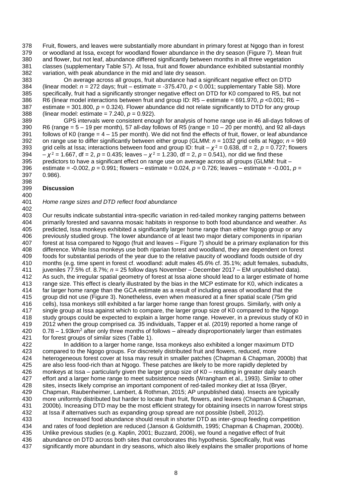Fruit, flowers, and leaves were substantially more abundant in primary forest at Ngogo than in forest or woodland at Issa, except for woodland flower abundance in the dry season (Figure 7). Mean fruit and flower, but not leaf, abundance differed significantly between months in all three vegetation classes (supplementary Table S7). At Issa, fruit and flower abundance exhibited substantial monthly variation, with peak abundance in the mid and late dry season.

383 On average across all groups, fruit abundance had a significant negative effect on DTD<br>384 (linear model:  $n = 272$  days; fruit – estimate = -375.470,  $p < 0.001$ ; supplementary Table S8). Me 384 (linear model:  $n = 272$  days; fruit – estimate = -375.470,  $p < 0.001$ ; supplementary Table S8). More 385 specifically, fruit had a significantly stronger negative effect on DTD for K0 compared to R5, but not 385 specifically, fruit had a significantly stronger negative effect on DTD for K0 compared to R5, but not 386 R6 (linear model interactions between fruit and group ID: R5 – estimate = 691.970,  $p$  < 0.001; R6 – 386 R6 (linear model interactions between fruit and group ID:  $R5 -$  estimate = 691.970,  $p < 0.001$ ;  $R6 -$ <br>387 estimate = 301.800,  $p = 0.324$ ). Flower abundance did not relate significantly to DTD for any group estimate = 301.800,  $p = 0.324$ ). Flower abundance did not relate significantly to DTD for any group (linear model: estimate = 7.240, *p* = 0.922).

 GPS intervals were consistent enough for analysis of home range use in 46 all-days follows of 390 R6 (range = 5 – 19 per month), 57 all-day follows of R5 (range = 10 – 20 per month), and 92 all-days 391 follows of K0 (range = 4 – 15 per month). We did not find the effects of fruit, flower, or leaf abundance 391 follows of K0 (range =  $4 - 15$  per month). We did not find the effects of fruit, flower, or leaf abundance<br>392 on range use to differ significantly between either group (GLMM:  $n = 1032$  grid cells at Nggo:  $n = 969$ 392 on range use to differ significantly between either group (GLMM:  $n = 1032$  grid cells at Nggo;  $n = 969$ <br>393 orid cells at Issa: interactions between food and group ID: fruit –  $x^2 = 0.638$ . df = 2.  $p = 0.727$ : flowers 393 grid cells at Issa; interactions between food and group ID: fruit –  $\chi^2$  = 0.638, df = 2, *p* = 0.727; flowers 394  $\, -x^2 = 1.667$ , df = 2,  $p = 0.435$ ; leaves  $-x^2 = 1.230$ , df = 2,  $p = 0.541$ ), nor did we find these 395 predictors to have a significant effect on range use on average across all groups (GLMM: fruit – 396 estimate = -0.002,  $p = 0.991$ ; flowers – estimate = 0.024,  $p = 0.726$ ; leaves – estimate = -0.001, estimate = -0.002, *p* = 0.991; flowers – estimate = 0.024, *p* = 0.726; leaves – estimate = -0.001, *p* = 0.986).

#### 398<br>399 **Discussion**

#### *Home range sizes and DTD reflect food abundance*

403 Our results indicate substantial intra-specific variation in red-tailed monkey ranging patterns between<br>404 primarily forested and savanna mosaic habitats in response to both food abundance and weather. As 404 primarily forested and savanna mosaic habitats in response to both food abundance and weather. As<br>405 predicted, Issa monkeys exhibited a significantly larger home range than either Ngogo group or any 405 predicted, Issa monkeys exhibited a significantly larger home range than either Ngogo group or any<br>406 previously studied group. The lower abundance of at least two major dietary components in riparian 406 previously studied group. The lower abundance of at least two major dietary components in riparian<br>407 forest at Issa compared to Ngogo (fruit and leaves – Figure 7) should be a primary explanation for th forest at Issa compared to Ngogo (fruit and leaves – Figure 7) should be a primary explanation for this difference. While Issa monkeys use both riparian forest and woodland, they are dependent on forest 409 foods for substantial periods of the year due to the relative paucity of woodland foods outside of dry<br>410 months (e.g. time spent in forest cf. woodland: adult males 45.6% cf. 35.1%; adult females, subadult months (e.g. time spent in forest cf. woodland: adult males 45.6% cf. 35.1%; adult females, subadults, juveniles 77.5% cf. 8.7%; *n* = 25 follow days November – December 2017 – EM unpublished data). 412 As such, the irregular spatial geometry of forest at Issa alone should lead to a larger estimate of home<br>413 anno esize. This effect is clearly illustrated by the bias in the MCP estimate for K0, which indicates a range size. This effect is clearly illustrated by the bias in the MCP estimate for K0, which indicates a far larger home range than the GCA estimate as a result of including areas of woodland that the group did not use (Figure 3). Nonetheless, even when measured at a finer spatial scale (75m grid cells), Issa monkeys still exhibited a far larger home range than forest groups. Similarly, with only a single group at Issa against which to compare, the larger group size of K0 compared to the Ngogo study groups could be expected to explain a larger home range. However, in a previous study of K0 in 2012 when the group comprised *ca.* 35 individuals, Tapper et al. (2019) reported a home range of 0.78 – 1.93km<sup>2</sup> after only three months of follows – already disproportionately larger than estimates for forest groups of similar sizes (Table 1).

422 In addition to a larger home range, Issa monkeys also exhibited a longer maximum DTD<br>423 compared to the Ngogo groups. For discretely distributed fruit and flowers, reduced, more compared to the Ngogo groups. For discretely distributed fruit and flowers, reduced, more heterogeneous forest cover at Issa may result in smaller patches (Chapman & Chapman, 2000b) that are also less food-rich than at Ngogo. These patches are likely to be more rapidly depleted by monkeys at Issa – particularly given the larger group size of K0 – resulting in greater daily search effort and a larger home range to meet subsistence needs (Wrangham et al., 1993). Similar to other sites, insects likely comprise an important component of red-tailed monkey diet at Issa (Bryer, Chapman, Raubenheimer, Lambert, & Rothman, 2015; AP unpublished data). Insects are typically more uniformly distributed but harder to locate than fruit, flowers, and leaves (Chapman & Chapman, 2000b). Increasing DTD may be the most efficient strategy for obtaining insects in narrow forest strips at Issa if alternatives such as expanding group spread are not possible (Isbell, 2012).

 Increased food abundance should result in shorter DTD as inter-group feeding competition and rates of food depletion are reduced (Janson & Goldsmith, 1995; Chapman & Chapman, 2000b). Unlike previous studies (e.g. Kaplin, 2001; Buzzard, 2006), we found a negative effect of fruit abundance on DTD across both sites that corroborates this hypothesis. Specifically, fruit was significantly more abundant in dry seasons, which also likely explains the smaller proportions of home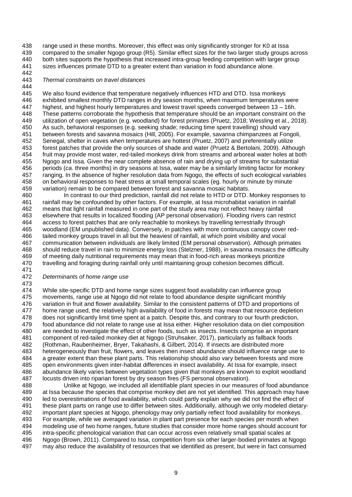range used in these months. Moreover, this effect was only significantly stronger for K0 at Issa compared to the smaller Ngogo group (R5). Similar effect sizes for the two larger study groups across both sites supports the hypothesis that increased intra-group feeding competition with larger group sizes influences primate DTD to a greater extent than variation in food abundance alone.

#### 442<br>443 *Thermal constraints on travel distances*

444<br>445 445 We also found evidence that temperature negatively influences HTD and DTD. Issa monkeys<br>446 exhibited smallest monthly DTD ranges in dry season months, when maximum temperatures v 446 exhibited smallest monthly DTD ranges in dry season months, when maximum temperatures were<br>447 highest, and highest hourly temperatures and lowest travel speeds converged between 13 – 16h. highest, and highest hourly temperatures and lowest travel speeds converged between 13 – 16h. These patterns corroborate the hypothesis that temperature should be an important constraint on the utilization of open vegetation (e.g. woodland) for forest primates (Pruetz, 2018; Wessling et al., 2018). 450 As such, behavioral responses (e.g. seeking shade; reducing time spent travelling) should vary<br>451 between forests and savanna mosaics (Hill. 2005). For example, savanna chimpanzees at Fone 451 between forests and savanna mosaics (Hill, 2005). For example, savanna chimpanzees at Fongoli, 452 Senegal, shelter in caves when temperatures are hottest (Pruetz, 2007) and preferentially utilize Senegal, shelter in caves when temperatures are hottest (Pruetz, 2007) and preferentially utilize forest patches that provide the only sources of shade and water (Pruetz & Bertolani, 2009). Although 454 fruit may provide most water, red-tailed monkeys drink from streams and arboreal water holes at both 455 Ngoog and Issa. Given the near complete absence of rain and drying up of streams for substantial 455 Ngogo and Issa. Given the near complete absence of rain and drying up of streams for substantial<br>456 periods (ca. three months) in dry seasons at Issa, water may be a similarly limiting factor for monke periods (*ca.* three months) in dry seasons at Issa, water may be a similarly limiting factor for monkey 457 ranging. In the absence of higher resolution data from Ngogo, the effects of such ecological variables 458 on behavioral responses to heat stress at small temporal scales (eq. hourly or minute by minute on behavioral responses to heat stress at small temporal scales (eg. hourly or minute by minute variation) remain to be compared between forest and savanna mosaic habitats.

 In contrast to our third prediction, rainfall did not relate to HTD or DTD. Monkey responses to rainfall may be confounded by other factors. For example, at Issa microhabitat variation in rainfall means that light rainfall measured in one part of the study area may not reflect heavy rainfall 463 elsewhere that results in localized flooding (AP personal observation). Flooding rivers can restrict 464 access to forest patches that are only reachable to monkeys by travelling terrestrially through 464 access to forest patches that are only reachable to monkeys by travelling terrestrially through<br>465 woodland (EM unpublished data). Conversely, in patches with more continuous canopy cover 465 woodland (EM unpublished data). Conversely, in patches with more continuous canopy cover red-<br>466 tailed monkey groups travel in all but the heaviest of rainfall, at which point visibility and vocal 466 tailed monkey groups travel in all but the heaviest of rainfall, at which point visibility and vocal<br>467 communication between individuals are likely limited (EM personal observation). Although prin communication between individuals are likely limited (EM personal observation). Although primates should reduce travel in rain to minimize energy loss (Stelzner, 1988), in savanna mosaics the difficulty 469 of meeting daily nutritional requirements may mean that in food-rich areas monkeys prioritize<br>470 travelling and foraging during rainfall only until maintaining group cohesion becomes difficult. travelling and foraging during rainfall only until maintaining group cohesion becomes difficult. 

#### *Determinants of home range use*

 While site-specific DTD and home range sizes suggest food availability can influence group movements, range use at Ngogo did not relate to food abundance despite significant monthly 476 variation in fruit and flower availability. Similar to the consistent patterns of DTD and proportions of 477 home range used, the relatively high availability of food in forests may mean that resource depletion home range used, the relatively high availability of food in forests may mean that resource depletion does not significantly limit time spent at a patch. Despite this, and contrary to our fourth prediction, food abundance did not relate to range use at Issa either. Higher resolution data on diet composition are needed to investigate the effect of other foods, such as insects. Insects comprise an important component of red-tailed monkey diet at Ngogo (Struhsaker, 2017), particularly as fallback foods (Rothman, Raubenheimer, Bryer, Takahashi, & Gilbert, 2014). If insects are distributed more heterogeneously than fruit, flowers, and leaves then insect abundance should influence range use to a greater extent than these plant parts. This relationship should also vary between forests and more 485 open environments given inter-habitat differences in insect availability. At Issa for example, insect<br>486 abundance likely varies between vegetation types given that monkeys are known to exploit woodla abundance likely varies between vegetation types given that monkeys are known to exploit woodland locusts driven into riparian forest by dry season fires (FS personal observation).

 Unlike at Ngogo, we included all identifiable plant species in our measures of food abundance at Issa because the species that comprise monkey diet are not yet identified. This approach may have led to overestimations of food availability, which could partly explain why we did not find the effect of these plant parts on range use to differ between sites. Additionally, although we only modeled dietary- important plant species at Ngogo, phenology may only partially reflect food availability for monkeys. For example, while we averaged variation in plant part presence for each species per month when modeling use of two home ranges, future studies that consider more home ranges should account for intra-specific phenological variation that can occur across even relatively small spatial scales at Ngogo (Brown, 2011). Compared to Issa, competition from six other larger-bodied primates at Ngogo may also reduce the availability of resources that we identified as present, but were in fact consumed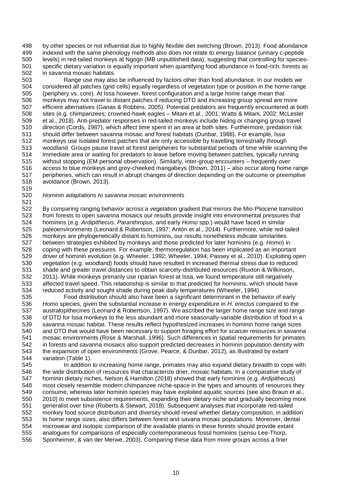by other species or not influential due to highly flexible diet switching (Brown, 2013). Food abundance 499 indexed with the same phenology methods also does not relate to energy balance (urinary c-peptide<br>500 levels) in red-tailed monkeys at Ngogo (MB unpublished data), suggesting that controlling for species levels) in red-tailed monkeys at Ngogo (MB unpublished data), suggesting that controlling for species-501 specific dietary variation is equally important when quantifying food abundance in food-rich, forests as 502 in savanna mosaic habitats. in savanna mosaic habitats.

503 Fange use may also be influenced by factors other than food abundance. In our models we<br>504 Foonsidered all patches (grid cells) equally regardless of vegetation type or position in the home range 504 considered all patches (grid cells) equally regardless of vegetation type or position in the home range<br>505 (periphery vs. core). At Issa however, forest configuration and a large home range mean that 505 (periphery vs. core). At Issa however, forest configuration and a large home range mean that<br>506 monkeys may not travel to distant patches if reducing DTD and increasing group spread are r 506 monkeys may not travel to distant patches if reducing DTD and increasing group spread are more<br>507 efficient alternatives (Ganas & Robbins, 2005). Potential predators are frequently encountered at b efficient alternatives (Ganas & Robbins, 2005). Potential predators are frequently encountered at both sites (e.g. chimpanzees; crowned-hawk eagles – Mitani et al., 2001; Watts & Mitani, 2002; McLester et al., 2018). Anti-predator responses in red-tailed monkeys include hiding or changing group travel 510 direction (Cords, 1987), which affect time spent in an area at both sites. Furthermore, predation risk 511<br>511 should differ between savanna mosaic and forest habitats (Dunbar, 1988). For example, Issa 511 should differ between savanna mosaic and forest habitats (Dunbar, 1988). For example, Issa<br>512 monkeys use isolated forest patches that are only accessible by travelling terrestrially through monkeys use isolated forest patches that are only accessible by travelling terrestrially through woodland. Groups pause travel at forest peripheries for substantial periods of time while scanning the 514 immediate area or waiting for predators to leave before moving between patches, typically running<br>515 without stopping (EM personal observation). Similarly, inter-group encounters – frequently over without stopping (EM personal observation). Similarly, inter-group encounters – frequently over access to blue monkeys and grey-cheeked mangabeys (Brown, 2011) – also occur along home range peripheries, which can result in abrupt changes of direction depending on the outcome or preemptive avoidance (Brown, 2013).

## 

#### *Hominin adaptations to savanna mosaic environments*

 By comparing ranging behavior across a vegetation gradient that mirrors the Mio-Pliocene transition 523 from forests to open savanna mosaics our results provide insight into environmental pressures that 524 hominins (e.g. Ardipithecus, Paranthropus, and early Homo spp.) would have faced in similar hominins (e.g. *Ardipithecus, Paranthropus,* and early *Homo* spp.) would have faced in similar 525 paleoenvironments (Leonard & Robertson, 1997; Antón et al., 2014). Furthermore, while red-tailed<br>526 monkeys are phylogenetically distant to hominins, our results nonetheless indicate similarities 526 monkeys are phylogenetically distant to hominins, our results nonetheless indicate similarities<br>527 between strategies exhibited by monkeys and those predicted for later hominins (e.g. Homo) in between strategies exhibited by monkeys and those predicted for later hominins (e.g. *Homo*) in coping with these pressures. For example, thermoregulation has been implicated as an important 529 driver of hominin evolution (e.g. Wheeler, 1992; Wheeler, 1994; Passey et al., 2010). Exploiting open 530 vegetation (e.g. woodland) foods should have resulted in increased thermal stress due to reduced vegetation (e.g. woodland) foods should have resulted in increased thermal stress due to reduced shade and greater travel distances to obtain scarcely-distributed resources (Ruxton & Wilkinson, 532 2011). While monkeys primarily use riparian forest at Issa, we found temperature still negatively<br>533 affected travel speed. This relationship is similar to that predicted for hominins, which should have affected travel speed. This relationship is similar to that predicted for hominins, which should have reduced activity and sought shade during peak daily temperatures (Wheeler, 1994).

 Food distribution should also have been a significant determinant in the behavior of early *Homo* species, given the substantial increase in energy expenditure in *H. erectus* compared to the australopithecines (Leonard & Robertson, 1997). We ascribed the larger home range size and range of DTD for Issa monkeys to the less abundant and more seasonally-variable distribution of food in a savanna mosaic habitat. These results reflect hypothesized increases in hominin home range sizes and DTD that would have been necessary to support foraging effort for scarcer resources in savanna mosaic environments (Rose & Marshall, 1996). Such differences in spatial requirements for primates 542 in forests and savanna mosaics also support predicted decreases in hominin population density with 543 the expansion of open environments (Grove, Pearce, & Dunbar, 2012), as illustrated by extant the expansion of open environments (Grove, Pearce, & Dunbar, 2012), as illustrated by extant variation (Table 1).

 In addition to increasing home range, primates may also expand dietary breadth to cope with the wide distribution of resources that characterize drier, mosaic habitats. In a comparative study of hominin dietary niches, Nelson & Hamilton (2018) showed that early hominins (e.g. *Ardipithecus*) most closely resemble modern chimpanzee niche-space in the types and amounts of resources they consume, whereas later hominin species may have exploited aquatic sources (see also Braun et al., 2010) to meet subsistence requirements, expanding their dietary niche and gradually becoming more generalist over time (Roberts & Stewart, 2018). Subsequent analyses that incorporate red-tailed monkey food source distribution and diversity should reveal whether dietary composition, in addition to home range sizes, also differs between forest and savana mosaic populations. Moreover, dental microwear and isotopic comparison of the available plants in these forests should provide extant analogues for comparisons of especially contemporaneous fossil hominins (sensu Lee-Thorp, Sponheimer, & van der Merwe, 2003). Comparing these data from more groups across a finer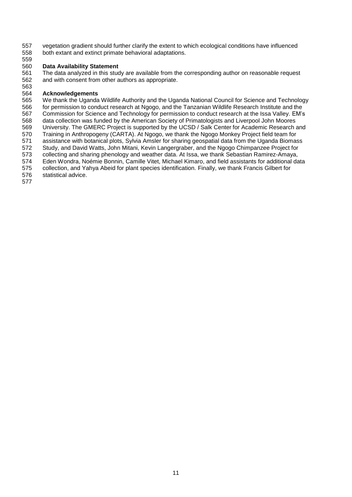557 vegetation gradient should further clarify the extent to which ecological conditions have influenced<br>558 both extant and extinct primate behavioral adaptations. both extant and extinct primate behavioral adaptations.

#### **Data Availability Statement**

 The data analyzed in this study are available from the corresponding author on reasonable request and with consent from other authors as appropriate.

# 

 **Acknowledgements** 565 We thank the Uganda Wildlife Authority and the Uganda National Council for Science and Technology<br>566 for permission to conduct research at Ngogo, and the Tanzanian Wildlife Research Institute and the for permission to conduct research at Ngogo, and the Tanzanian Wildlife Research Institute and the Commission for Science and Technology for permission to conduct research at the Issa Valley. EM's data collection was funded by the American Society of Primatologists and Liverpool John Moores 569 University. The GMERC Project is supported by the UCSD / Salk Center for Academic Research and<br>570 Training in Anthropogeny (CARTA). At Ngogo, we thank the Ngogo Monkey Project field team for 570 Training in Anthropogeny (CARTA). At Ngogo, we thank the Ngogo Monkey Project field team for<br>571 assistance with botanical plots. Sylvia Amsler for sharing geospatial data from the Uganda Biomas assistance with botanical plots, Sylvia Amsler for sharing geospatial data from the Uganda Biomass Study, and David Watts, John Mitani, Kevin Langergraber, and the Ngogo Chimpanzee Project for 573 collecting and sharing phenology and weather data. At Issa, we thank Sebastian Ramirez-Amaya,<br>574 Eden Wondra, Noémie Bonnin, Camille Vitet, Michael Kimaro, and field assistants for additional da Eden Wondra, Noémie Bonnin, Camille Vitet, Michael Kimaro, and field assistants for additional data collection, and Yahya Abeid for plant species identification. Finally, we thank Francis Gilbert for statistical advice.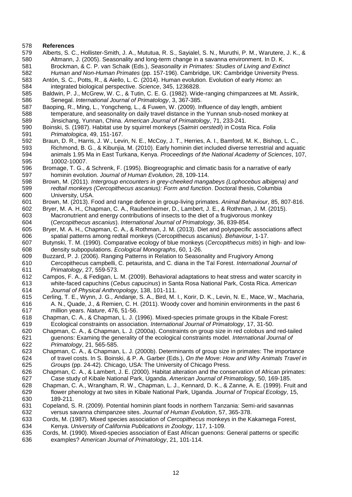#### **References**

- Alberts, S. C., Hollister-Smith, J. A., Mututua, R. S., Sayialel, S. N., Muruthi, P. M., Warutere, J. K., & Altmann, J. (2005). Seasonality and long-term change in a savanna environment. In D. K. Brockman, & C. P. van Schaik (Eds.), *Seasonality in Primates: Studies of Living and Extinct Human and Non-Human Primates* (pp. 157-196). Cambridge, UK: Cambridge University Press.
- Antón, S. C., Potts, R., & Aiello, L. C. (2014). Human evolution. Evolution of early *Homo*: an
- integrated biological perspective. *Science*, 345, 1236828. 585 Baldwin, P. J., McGrew, W. C., & Tutin, C. E. G. (1982). Wide-ranging chimpanzees at Mt. Assirik, 586 Senegal. International Journal of Primatology, 3, 367-385. Senegal. *International Journal of Primatology*, 3, 367-385.
- Baoping, R., Ming, L., Yongcheng, L., & Fuwen, W. (2009). Influence of day length, ambient temperature, and seasonality on daily travel distance in the Yunnan snub-nosed monkey at Jinsichang, Yunnan, China. *American Journal of Primatology*, 71, 233-241.
- Boinski, S. (1987). Habitat use by squirrel monkeys (*Saimiri oerstedi*) in Costa Rica. *Folia Primatologica*, 49, 151-167.
- Braun, D. R., Harris, J. W., Levin, N. E., McCoy, J. T., Herries, A. I., Bamford, M. K., Bishop, L. C., Richmond, B. G., & Kibunjia, M. (2010). Early hominin diet included diverse terrestrial and aquatic animals 1.95 Ma in East Turkana, Kenya. *Proceedings of the National Academy of Sciences*, 107, 10002-10007.
- Bromage, T. G., & Schrenk, F. (1995). Biogreographic and climatic basis for a narrative of early hominin evolution. *Journal of Human Evolution*, 28, 109-114.
- Brown, M. (2011). *Intergroup encounters in grey-cheeked mangabeys (Lophocebus albigena) and redtail monkeys (Cercopithecus ascanius): Form and function*. Doctoral thesis, Columbia University, USA.
- Brown, M. (2013). Food and range defence in group-living primates. *Animal Behaviour*, 85, 807-816.
- Bryer, M. A. H., Chapman, C. A., Raubenheimer, D., Lambert, J. E., & Rothman, J. M. (2015). 603 Macronutrient and energy contributions of insects to the diet of a frugivorous monkey<br>604 (Cercopithecus ascanius). International Journal of Primatology, 36, 839-854. (*Cercopithecus ascanius*). *International Journal of Primatology*, 36, 839-854.
- 605 Bryer, M. A. H., Chapman, C. A., & Rothman, J. M. (2013). Diet and polyspecific associations affect 606 spatial patterns among redtail monkeys (Cercopithecus ascanius). Behaviour, 1-17. spatial patterns among redtail monkeys (Cercopithecus ascanius). *Behaviour*, 1-17.
- Butynski, T. M. (1990). Comparative ecology of blue monkeys (*Cercopithecus mitis*) in high- and low-density subpopulations. *Ecological Monographs*, 60, 1-26.
- Buzzard, P. J. (2006). Ranging Patterns in Relation to Seasonality and Frugivory Among Cercopithecus campbelli, C. petaurista, and C. diana in the Taï Forest. *International Journal of Primatology*, 27, 559-573.
- 612 Campos, F. A., & Fedigan, L. M. (2009). Behavioral adaptations to heat stress and water scarcity in 613 vehite-faced capuchins (Cebus capucinus) in Santa Rosa National Park, Costa Rica. American white-faced capuchins (*Cebus capucinus*) in Santa Rosa National Park, Costa Rica. *American Journal of Physical Anthropology*, 138, 101-111.
- Cerling, T. E., Wynn, J. G., Andanje, S. A., Bird, M. I., Korir, D. K., Levin, N. E., Mace, W., Macharia, A. N., Quade, J., & Remien, C. H. (2011). Woody cover and hominin environments in the past 6 million years. *Nature*, 476, 51-56.
- Chapman, C. A., & Chapman, L. J. (1996). Mixed-species primate groups in the Kibale Forest: Ecological constraints on association. *International Journal of Primatology*, 17, 31-50.
- Chapman, C. A., & Chapman, L. J. (2000a). Constraints on group size in red colobus and red-tailed guenons: Examing the generality of the ecological constraints model. *International Journal of Primatology*, 21, 565-585.
- Chapman, C. A., & Chapman, L. J. (2000b). Determinants of group size in primates: The importance of travel costs. In S. Boinski, & P. A. Garber (Eds.), *On the Move: How and Why Animals Travel in Groups* (pp. 24-42). Chicago, USA: The University of Chicago Press.
- Chapman, C. A., & Lambert, J. E. (2000). Habitat alteration and the conservation of African primates: Case study of Kibale National Park, Uganda. *American Journal of Primatology*, 50, 169-185.
- Chapman, C. A., Wrangham, R. W., Chapman, L. J., Kennard, D. K., & Zanne, A. E. (1999). Fruit and flower phenology at two sites in Kibale National Park, Uganda. *Journal of Tropical Ecology*, 15, 189-211.
- Copeland, S. R. (2009). Potential hominin plant foods in northern Tanzania: Semi-arid savannas versus savanna chimpanzee sites. *Journal of Human Evolution*, 57, 365-378.
- Cords, M. (1987). Mixed species association of *Cercopithecus* monkeys in the Kakamega Forest, Kenya. *University of California Publications in Zoology*, 117, 1-109.
- Cords, M. (1990). Mixed-species association of East African guenons: General patterns or specific examples? *American Journal of Primatology*, 21, 101-114.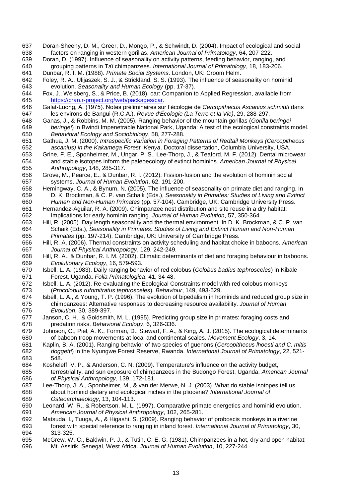- 637 Doran-Sheehy, D. M., Greer, D., Mongo, P., & Schwindt, D. (2004). Impact of ecological and social 638 factors on ranging in western gorillas. American Journal of Primatology, 64, 207-222. factors on ranging in western gorillas. *American Journal of Primatology*, 64, 207-222.
- Doran, D. (1997). Influence of seasonality on activity patterns, feeding behavior, ranging, and grouping patterns in Taï chimpanzees. *International Journal of Primatology*, 18, 183-206.

Dunbar, R. I. M. (1988). *Primate Social Systems*. London, UK: Croom Helm.

- 642 Foley, R. A., Ulijaszek, S. J., & Strickland, S. S. (1993). The influence of seasonality on hominid 643 evolution. Seasonality and Human Ecology (pp. 17-37). evolution. *Seasonality and Human Ecology* (pp. 17-37).
- 644 Fox, J., Weisberg, S., & Price, B. (2018). car: Companion to Applied Regression, available from<br>645 https://cran.r-project.org/web/packages/car. [https://cran.r-project.org/web/packages/car.](https://cran.r-project.org/web/packages/car)<br>646 Galat-Luong, A. (1975). Notes préliminaires sur
- Galat-Luong, A. (1975). Notes préliminaires sur l'écologie de *Cercopithecus Ascanius schmidti* dans les environs de Bangui (R.C.A.). *Revue d'Écologie (La Terre et la Vie)*, 29, 288-297.
- Ganas, J., & Robbins, M. M. (2005). Ranging behavior of the mountain gorillas (*Gorilla beringei beringei*) in Bwindi Impenetrable National Park, Uganda: A test of the ecological constraints model. *Behavioral Ecology and Sociobiology*, 58, 277-288.
- Gathua, J. M. (2000). *Intraspecific Variation in Foraging Patterns of Redtail Monkeys (Cercopithecus ascanius) in the Kakamega Forest, Kenya*. Doctoral dissertation, Columbia University, USA.
- 653 Grine, F. E., Sponheimer, M., Ungar, P. S., Lee-Thorp, J., & Teaford, M. F. (2012). Dental microwear<br>654 and stable isotopes inform the paleoecology of extinct hominins. American Journal of Physical and stable isotopes inform the paleoecology of extinct hominins. *American Journal of Physical Anthropology*, 148, 285-317.
- 656 Grove, M., Pearce, E., & Dunbar, R. I. (2012). Fission-fusion and the evolution of hominin social 657 systems. Journal of Human Evolution, 62, 191-200. systems. *Journal of Human Evolution*, 62, 191-200.
- Hemingway, C. A., & Bynum, N. (2005). The influence of seasonality on primate diet and ranging. In D. K. Brockman, & C. P. van Schaik (Eds.), *Seasonality in Primates: Studies of Living and Extinct Human and Non-Human Primates* (pp. 57-104). Cambridge, UK: Cambridge University Press.
- Hernandez-Aguilar, R. A. (2009). Chimpanzee nest distribution and site reuse in a dry habitat: Implications for early hominin ranging. *Journal of Human Evolution*, 57, 350-364.
- 663 Hill, R. (2005). Day length seasonality and the thermal environment. In D. K. Brockman, & C. P. van 664 Schaik (Eds.), Seasonality in Primates: Studies of Living and Extinct Human and Non-Human Schaik (Eds.), *Seasonality in Primates: Studies of Living and Extinct Human and Non-Human*
- *Primates* (pp. 197-214). Cambridge, UK: University of Cambridge Press. Hill, R. A. (2006). Thermal constraints on activity scheduling and habitat choice in baboons. *American Journal of Physical Anthropology*, 129, 242-249.
- 668 Hill, R. A., & Dunbar, R. I. M. (2002). Climatic determinants of diet and foraging behaviour in baboons.<br>669 *Evolutionary Ecology.* 16, 579-593. *Evolutionary Ecology*, 16, 579-593.
- Isbell, L. A. (1983). Daily ranging behavior of red colobus (*Colobus badius tephrosceles*) in Kibale Forest, Uganda. *Folia Primatologica*, 41, 34-48.
- Isbell, L. A. (2012). Re-evaluating the Ecological Constraints model with red colobus monkeys (*Procolobus rufomitratus tephrosceles*). *Behaviour*, 149, 493-529.
- Isbell, L. A., & Young, T. P. (1996). The evolution of bipedalism in hominids and reduced group size in chimpanzees: Alternative responses to decreasing resource availability. *Journal of Human Evolution*, 30, 389-397.
- Janson, C. H., & Goldsmith, M. L. (1995). Predicting group size in primates: foraging costs and predation risks. *Behavioral Ecology*, 6, 326-336.
- Johnson, C., Piel, A. K., Forman, D., Stewart, F. A., & King, A. J. (2015). The ecological determinants of baboon troop movements at local and continental scales. *Movement Ecology*, 3, 14.
- Kaplin, B. A. (2001). Ranging behavior of two species of guenons (*Cercopithecus lhoesti and C. mitis doggetti*) in the Nyungwe Forest Reserve, Rwanda. *International Journal of Primatology*, 22, 521- 548.
- Kosheleff, V. P., & Anderson, C. N. (2009). Temperature's influence on the activity budget, terrestriality, and sun exposure of chimpanzees in the Budongo Forest, Uganda. *American Journal of Physical Anthropology*, 139, 172-181.
- Lee-Thorp, J. A., Sponheimer, M., & van der Merwe, N. J. (2003). What do stable isotopes tell us about hominid dietary and ecological niches in the pliocene? *International Journal of Osteoarchaeology*, 13, 104-113.
- Leonard, W. R., & Robertson, M. L. (1997). Comparative primate energetics and hominid evolution. *American Journal of Physical Anthropology*, 102, 265-281.
- Matsuda, I., Tuuga, A., & Higashi, S. (2009). Ranging behavior of proboscis monkeys in a riverine forest with special reference to ranging in inland forest. *International Journal of Primatology*, 30, 313-325.
- McGrew, W. C., Baldwin, P. J., & Tutin, C. E. G. (1981). Chimpanzees in a hot, dry and open habitat: Mt. Assirik, Senegal, West Africa. *Journal of Human Evolution*, 10, 227-244.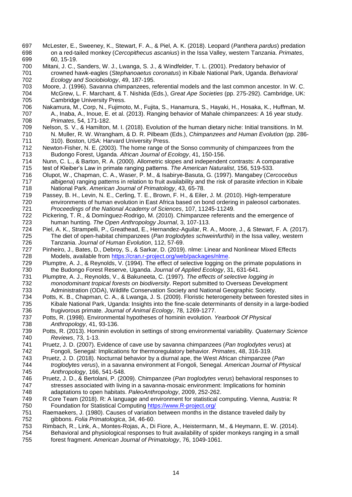- McLester, E., Sweeney, K., Stewart, F. A., & Piel, A. K. (2018). Leopard (*Panthera pardus*) predation on a red-tailed monkey (*Cercopithecus ascanius*) in the Issa Valley, western Tanzania. *Primates*, 60, 15-19.
- Mitani, J. C., Sanders, W. J., Lwanga, S. J., & Windfelder, T. L. (2001). Predatory behavior of crowned hawk-eagles (*Stephanoaetus coronatus*) in Kibale National Park, Uganda. *Behavioral Ecology and Sociobiology*, 49, 187-195.
- 703 Moore, J. (1996). Savanna chimpanzees, referential models and the last common ancestor. In W. C.<br>704 McGrew, L. F. Marchant, & T. Nishida (Eds.), Great Ape Societies (pp. 275-292). Cambridge, UK: McGrew, L. F. Marchant, & T. Nishida (Eds.), *Great Ape Societies* (pp. 275-292). Cambridge, UK: 705 Cambridge University Press.<br>706 Nakamura, M., Corp, N., Fujimot
- Nakamura, M., Corp, N., Fujimoto, M., Fujita, S., Hanamura, S., Hayaki, H., Hosaka, K., Huffman, M. 707 A., Inaba, A., Inoue, E. et al. (2013). Ranging behavior of Mahale chimpanzees: A 16 year study.<br>708 Primates. 54. 171-182. *Primates*, 54, 171-182.
- 709 Nelson, S. V., & Hamilton, M. I. (2018). Evolution of the human dietary niche: Initial transitions. In M.<br>710 N. Muller, R. W. Wrangham, & D. R. Pilbeam (Eds.). Chimpanzees and Human Evolution (pp. 286 N. Muller, R. W. Wrangham, & D. R. Pilbeam (Eds.), *Chimpanzees and Human Evolution* (pp. 286- 310). Boston, USA: Harvard University Press.
- Newton-Fisher, N. E. (2003). The home range of the Sonso community of chimpanzees from the Budongo Forest, Uganda. *African Journal of Ecology*, 41, 150-156.
- 714 Nunn, C. L., & Barton, R. A. (2000). Allometric slopes and independent contrasts: A comparative<br>715 test of Kleiber's Law in primate ranging patterns. The American Naturalist, 156, 519-533. test of Kleiber's Law in primate ranging patterns. *The American Naturalist*, 156, 519-533.
- Olupot, W., Chapman, C. A., Waser, P. M., & Isabirye-Basuta, G. (1997). Mangabey (*Cercocebus albigena*) ranging patterns in relation to fruit availability and the risk of parasite infection in Kibale National Park. *American Journal of Primatology*, 43, 65-78.
- Passey, B. H., Levin, N. E., Cerling, T. E., Brown, F. H., & Eiler, J. M. (2010). High-temperature environments of human evolution in East Africa based on bond ordering in paleosol carbonates. *Proceedings of the National Academy of Sciences*, 107, 11245-11249.
- 722 Pickering, T. R., & Domínguez-Rodrigo, M. (2010). Chimpanzee referents and the emergence of 723 human hunting. The Open Anthropology Journal, 3, 107-113. human hunting. *The Open Anthropology Journal*, 3, 107-113.
- 724 Piel, A. K., Strampelli, P., Greathead, E., Hernandez-Aguilar, R. A., Moore, J., & Stewart, F. A. (2017).<br>725 The diet of open-habitat chimpanzees (Pan troglodytes schweinfurthii) in the Issa valley, western The diet of open-habitat chimpanzees (*Pan troglodytes schweinfurthii*) in the Issa valley, western Tanzania. *Journal of Human Evolution*, 112, 57-69.
- Pinheiro, J., Bates, D., Debroy, S., & Sarkar, D. (2019). nlme: Linear and Nonlinear Mixed Effects 728 Models, available from [https://cran.r-project.org/web/packages/nlme.](https://cran.r-project.org/web/packages/nlme)<br>729 Plumptre, A. J., & Reynolds, V. (1994). The effect of selective logging or
- 729 Plumptre, A. J., & Reynolds, V. (1994). The effect of selective logging on the primate populations in<br>730 the Budongo Forest Reserve, Uganda. Journal of Applied Ecology, 31, 631-641. the Budongo Forest Reserve, Uganda. *Journal of Applied Ecology*, 31, 631-641.
- Plumptre, A. J., Reynolds, V., & Bakuneeta, C. (1997). *The effects of selective logging in monodominant tropical forests on biodiversity*. Report submitted to Overseas Development Administration (ODA), Wildlife Conservation Society and National Geographic Society.
- Potts, K. B., Chapman, C. A., & Lwanga, J. S. (2009). Floristic heterogeneity between forested sites in Kibale National Park, Uganda: Insights into the fine-scale determinants of density in a large-bodied frugivorous primate. *Journal of Animal Ecology*, 78, 1269-1277.
- Potts, R. (1998). Environmental hypotheses of hominin evolution. *Yearbook Of Physical Anthropology*, 41, 93-136.
- Potts, R. (2013). Hominin evolution in settings of strong environmental variability. *Quaternary Science Reviews*, 73, 1-13.
- Pruetz, J. D. (2007). Evidence of cave use by savanna chimpanzees (*Pan troglodytes verus*) at Fongoli, Senegal: Implications for thermoregulatory behavior. *Primates*, 48, 316-319.
- Pruetz, J. D. (2018). Nocturnal behavior by a diurnal ape, the West African chimpanzee (*Pan troglodytes verus*), in a savanna environment at Fongoli, Senegal. *American Journal of Physical Anthropology*, 166, 541-548.
- Pruetz, J. D., & Bertolani, P. (2009). Chimpanzee (*Pan troglodytes verus*) behavioral responses to stresses associated with living in a savanna-mosaic environment: Implications for hominin adaptations to open habitats. *PaleoAnthropology*, 2009, 252-262.
- R Core Team (2018). R: A language and environment for statistical computing. Vienna, Austria: R Foundation for Statistical Computing [https://www.R-project.org/](https://www.r-project.org/)
- Raemaekers, J. (1980). Causes of variation between months in the distance traveled daily by gibbons. *Folia Primatologica*, 34, 46-60.
- Rimbach, R., Link, A., Montes-Rojas, A., Di Fiore, A., Heistermann, M., & Heymann, E. W. (2014). Behavioral and physiological responses to fruit availability of spider monkeys ranging in a small forest fragment. *American Journal of Primatology*, 76, 1049-1061.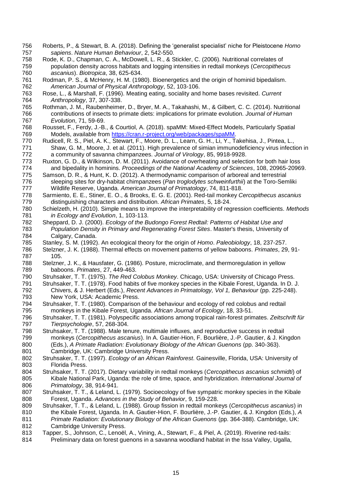- Roberts, P., & Stewart, B. A. (2018). Defining the 'generalist specialist' niche for Pleistocene *Homo sapiens*. *Nature Human Behaviour*, 2, 542-550.
- Rode, K. D., Chapman, C. A., McDowell, L. R., & Stickler, C. (2006). Nutritional correlates of population density across habitats and logging intensities in redtail monkeys (*Cercopithecus ascanius*). *Biotropica*, 38, 625-634.
- 761 Rodman, P. S., & McHenry, H. M. (1980). Bioenergetics and the origin of hominid bipedalism.<br>762 *American Journal of Physical Anthropology*, 52, 103-106. *American Journal of Physical Anthropology*, 52, 103-106.
- Rose, L., & Marshall, F. (1996). Meating eating, sociality and home bases revisited. *Current Anthropology*, 37, 307-338.
- Rothman, J. M., Raubenheimer, D., Bryer, M. A., Takahashi, M., & Gilbert, C. C. (2014). Nutritional contributions of insects to primate diets: implications for primate evolution. *Journal of Human Evolution*, 71, 59-69.
- 768 Rousset, F., Ferdy, J.-B., & Courtiol, A. (2018). spaMM: Mixed-Effect Models, Particularly Spatial<br>769 Models. available from https://cran.r-project.org/web/packages/spaMM. 769 Models, available from [https://cran.r-project.org/web/packages/spaMM.](https://cran.r-project.org/web/packages/spaMM)<br>770 Rudicell, R. S., Piel, A. K., Stewart, F., Moore, D. L., Learn, G. H., Li, Y., T.
- 770 Rudicell, R. S., Piel, A. K., Stewart, F., Moore, D. L., Learn, G. H., Li, Y., Takehisa, J., Pintea, L., 771 Shaw, G. M., Moore, J. et al. (2011). High prevalence of simian immunodeficiency virus infect Shaw, G. M., Moore, J. et al. (2011). High prevalence of simian immunodeficiency virus infection in a community of savanna chimpanzees. *Journal of Virology*, 85, 9918-9928.
- 773 Ruxton, G. D., & Wilkinson, D. M. (2011). Avoidance of overheating and selection for both hair loss<br>774 and bipedality in hominins. Proceedings of the National Academy of Sciences, 108, 20965-2096 and bipedality in hominins. *Proceedings of the National Academy of Sciences*, 108, 20965-20969.
- Samson, D. R., & Hunt, K. D. (2012). A thermodynamic comparison of arboreal and terrestrial sleeping sites for dry-habitat chimpanzees (*Pan troglodytes schweinfurthii*) at the Toro-Semliki Wildlife Reserve, Uganda. *American Journal of Primatology*, 74, 811-818.
- Sarmiento, E. E., Stiner, E. O., & Brooks, E. G. E. (2001). Red-tail monkey *Cercopithecus ascanius* distinguishing characters and distribution. *African Primates*, 5, 18-24.
- Schielzeth, H. (2010). Simple means to improve the interpretability of regression coefficients. *Methods in Ecology and Evolution*, 1, 103-113.
- Sheppard, D. J. (2000). *Ecology of the Budongo Forest Redtail: Patterns of Habitat Use and Population Density in Primary and Regenerating Forest Sites*. Master's thesis, University of 784 Calgary, Canada.<br>785 Stanley, S. M. (1992)
- Stanley, S. M. (1992). An ecological theory for the origin of *Homo*. *Paleobiology*, 18, 237-257.
- Stelzner, J. K. (1988). Thermal effects on movement patterns of yellow baboons. *Primates*, 29, 91- 787 105.<br>788 Stelzne
- Stelzner, J. K., & Hausfater, G. (1986). Posture, microclimate, and thermoregulation in yellow baboons. *Primates*, 27, 449-463.
- Struhsaker, T. T. (1975). *The Red Colobus Monkey*. Chicago, USA: University of Chicago Press.
- Struhsaker, T. T. (1978). Food habits of five monkey species in the Kibale Forest, Uganda. In D. J. Chivers, & J. Herbert (Eds.), *Recent Advances in Primatology, Vol 1, Behaviour* (pp. 225-248). New York, USA: Academic Press.
- Struhsaker, T. T. (1980). Comparison of the behaviour and ecology of red colobus and redtail monkeys in the Kibale Forest, Uganda. *African Journal of Ecology*, 18, 33-51.
- Struhsaker, T. T. (1981). Polyspecific associations among tropical rain-forest primates. *Zeitschrift für Tierpsychologie*, 57, 268-304.
- Struhsaker, T. T. (1988). Male tenure, multimale influxes, and reproductive success in redtail monkeys (*Cercopithecus ascanius*). In A. Gautier-Hion, F. Bourlière, J.-P. Gautier, & J. Kingdon (Eds.), *A Primate Radiation: Evolutionary Biology of the African Guenons* (pp. 340-363). Cambridge, UK: Cambridge University Press.
- Struhsaker, T. T. (1997). *Ecology of an African Rainforest*. Gainesville, Florida, USA: University of Florida Press.
- Struhsaker, T. T. (2017). Dietary variability in redtail monkeys (*Cercopithecus ascanius schmidti*) of Kibale National Park, Uganda: the role of time, space, and hybridization. *International Journal of Primatology*, 38, 914-941.
- Struhsaker, T. T., & Leland, L. (1979). Socioecology of five sympatric monkey species in the Kibale Forest, Uganda. *Advances in the Study of Behavior*, 9, 159-228.
- Struhsaker, T. T., & Leland, L. (1988). Group fission in redtail monkeys (*Cercopithecus ascanius*) in the Kibale Forest, Uganda. In A. Gautier-Hion, F. Bourlière, J.-P. Gautier, & J. Kingdon (Eds.), *A Primate Radiation: Evolutionary Biology of the African Guenons* (pp. 364-388). Cambridge, UK: Cambridge University Press.
- Tapper, S., Johnson, C., Lenoël, A., Vining, A., Stewart, F., & Piel, A. (2019). Riverine red-tails:
- Preliminary data on forest guenons in a savanna woodland habitat in the Issa Valley, Ugalla,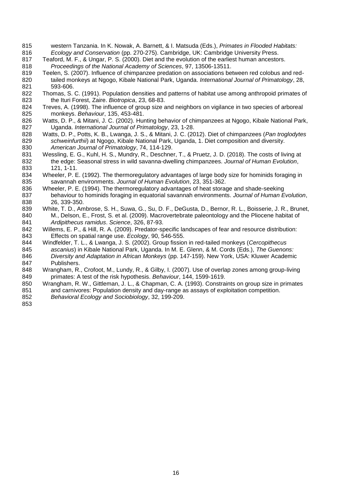- western Tanzania. In K. Nowak, A. Barnett, & I. Matsuda (Eds.), *Primates in Flooded Habitats: Ecology and Conservation* (pp. 270-275). Cambridge, UK: Cambridge University Press.
- Teaford, M. F., & Ungar, P. S. (2000). Diet and the evolution of the earliest human ancestors. *Proceedings of the National Academy of Sciences*, 97, 13506-13511.
- Teelen, S. (2007). Influence of chimpanzee predation on associations between red colobus and red- tailed monkeys at Ngogo, Kibale National Park, Uganda. *International Journal of Primatology*, 28, 821 593-606.<br>822 Thomas, S.
- 822 Thomas, S. C. (1991). Population densities and patterns of habitat use among anthropoid primates of 823 the Ituri Forest, Zaire. Biotropica, 23, 68-83. the Ituri Forest, Zaire. *Biotropica*, 23, 68-83.
- Treves, A. (1998). The influence of group size and neighbors on vigilance in two species of arboreal monkeys. *Behaviour*, 135, 453-481.
- Watts, D. P., & Mitani, J. C. (2002). Hunting behavior of chimpanzees at Ngogo, Kibale National Park, Uganda. *International Journal of Primatology*, 23, 1-28.
- Watts, D. P., Potts, K. B., Lwanga, J. S., & Mitani, J. C. (2012). Diet of chimpanzees (*Pan troglodytes schweinfurthii*) at Ngogo, Kibale National Park, Uganda, 1. Diet composition and diversity. *American Journal of Primatology*, 74, 114-129.
- 831 Wessling, E. G., Kuhl, H. S., Mundry, R., Deschner, T., & Pruetz, J. D. (2018). The costs of living at 832 the edge: Seasonal stress in wild savanna-dwelling chimpanzees. Journal of Human Evolution, the edge: Seasonal stress in wild savanna-dwelling chimpanzees. *Journal of Human Evolution*, 121, 1-11.
- Wheeler, P. E. (1992). The thermoregulatory advantages of large body size for hominids foraging in savannah environments. *Journal of Human Evolution*, 23, 351-362.
- Wheeler, P. E. (1994). The thermoregulatory advantages of heat storage and shade-seeking behaviour to hominids foraging in equatorial savannah environments. *Journal of Human Evolution*, 26, 339-350.
- White, T. D., Ambrose, S. H., Suwa, G., Su, D. F., DeGusta, D., Bernor, R. L., Boisserie, J. R., Brunet, 840 M., Delson, E., Frost, S. et al. (2009). Macrovertebrate paleontology and the Pliocene habitat of 841 Ardipithecus ramidus. Science, 326, 87-93. *Ardipithecus ramidus*. *Science*, 326, 87-93.
- Willems, E. P., & Hill, R. A. (2009). Predator-specific landscapes of fear and resource distribution: Effects on spatial range use. *Ecology*, 90, 546-555.
- Windfelder, T. L., & Lwanga, J. S. (2002). Group fission in red-tailed monkeys (*Cercopithecus ascanius*) in Kibale National Park, Uganda. In M. E. Glenn, & M. Cords (Eds.), *The Guenons: Diversity and Adaptation in African Monkeys* (pp. 147-159). New York, USA: Kluwer Academic Publishers.
- Wrangham, R., Crofoot, M., Lundy, R., & Gilby, I. (2007). Use of overlap zones among group-living primates: A test of the risk hypothesis. *Behaviour*, 144, 1599-1619.
- Wrangham, R. W., Gittleman, J. L., & Chapman, C. A. (1993). Constraints on group size in primates and carnivores: Population density and day-range as assays of exploitation competition.
- *Behavioral Ecology and Sociobiology*, 32, 199-209.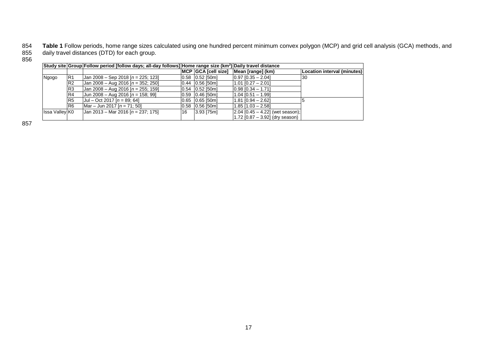854 **Table 1** Follow periods, home range sizes calculated using one hundred percent minimum convex polygon (MCP) and grid cell analysis (GCA) methods, and 855 daily travel distances (DTD) for each group. 855<br>856

|                       |                | $ $ Study site Group Follow period [follow days; all-day follows] Home range size $(km^2)$ Daily travel distance |    |                     |                                      |                             |
|-----------------------|----------------|------------------------------------------------------------------------------------------------------------------|----|---------------------|--------------------------------------|-----------------------------|
|                       |                |                                                                                                                  |    | MCP GCA [cell size] | Mean [range] (km)                    | Location interval (minutes) |
| Ngogo                 | R <sub>1</sub> | Jan 2008 - Sep 2018 $[n = 225; 123]$                                                                             |    | $0.58$ $0.52$ [50m] | $[0.97]$ $[0.35 - 2.04]$             | 30                          |
|                       | R <sub>2</sub> | Jan 2008 - Aug 2016 [n = 352; 250]                                                                               |    | $0.44$ 0.56 [50m]   | $1.01$ [0.27 - 2.01]                 |                             |
|                       | R <sub>3</sub> | Jan 2008 - Aug 2016 $[n = 255; 159]$                                                                             |    | $0.54$ 0.52 [50m]   | $0.98$ $0.34 - 1.71$                 |                             |
|                       | R <sub>4</sub> | Jun 2008 – Aug 2016 [n = 158; 99]                                                                                |    | $0.59$ $0.46$ [50m] | $1.04$ [0.51 - 1.99]                 |                             |
|                       | R <sub>5</sub> | $ $ Jul – Oct 2017 [n = 89; 64]                                                                                  |    | $0.65$ 0.65 [50m]   | $1.81$ $[0.94 - 2.62]$               |                             |
|                       | R <sub>6</sub> | $Mar - Jun 2017$ [n = 71: 50]                                                                                    |    | $0.58$ 0.56 [50m]   | $1.85$ [1.03 - 2.58]                 |                             |
| <b>Issa Valley KO</b> |                | Jan 2013 – Mar 2016 [n = 237; 175]                                                                               | 16 | $3.93$ [75m]        | $[2.04]$ [0.45 - 4.22] (wet season); |                             |
|                       |                |                                                                                                                  |    |                     | 1.72 [0.87 - 3.92] (dry season)      |                             |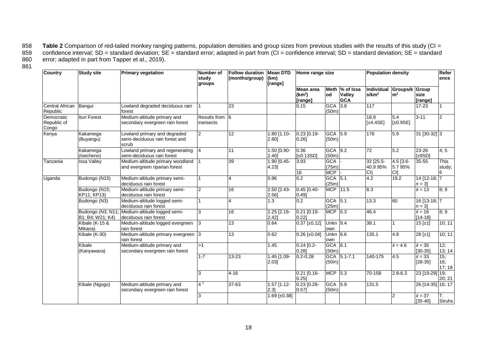858 **Table 2** Comparison of red-tailed monkey ranging patterns, population densities and group sizes from previous studies with the results of this study (CI = 859 confidence interval; SD = standard deviation; SE = standar 859 confidence interval; SD = standard deviation; SE = standard error; adapted in part from (CI = confidence interval; SD = standard deviation; SE = standard<br>860 error; adapted in part from Tapper et al., 2019). error; adapted in part from Tapper et al., 2019).

| Country                            | <b>Study site</b>                     | <b>Primary vegetation</b>                                               | <b>Number of</b><br>study<br>groups | <b>Follow duration</b><br>(months/group) | <b>Mean DTD</b><br>(km)<br>[range] | Home range size                           |                                   |                                                | <b>Population density</b>       |                                  |                               | Refer<br>ence              |
|------------------------------------|---------------------------------------|-------------------------------------------------------------------------|-------------------------------------|------------------------------------------|------------------------------------|-------------------------------------------|-----------------------------------|------------------------------------------------|---------------------------------|----------------------------------|-------------------------------|----------------------------|
|                                    |                                       |                                                                         |                                     |                                          |                                    | Mean area<br>(km <sup>2</sup> )<br>range] | lod                               | Meth  % of Issa<br><b>Valley</b><br><b>GCA</b> | Individual<br>s/km <sup>2</sup> | Groups/k Group<br>m <sup>2</sup> | size<br>[range]               |                            |
| Central African<br>Republic        | Bangui                                | Lowland degraded deciduous rain<br>forest                               |                                     | 23                                       |                                    | 0.15                                      | <b>GCA</b><br>(50m)               | 3.8                                            | 117                             |                                  | $17 - 23$                     |                            |
| Democratic<br>Republic of<br>Congo | <b>Ituri Forest</b>                   | Medium-altitude primary and<br>secondary evergreen rain forest          | Results from 6<br>transects         |                                          |                                    |                                           |                                   |                                                | 18.9<br>[±4.4SE]                | 5.4<br>$[\pm 0.9SE]$             | $3 - 11$                      | $\overline{2}$             |
| Kenya                              | Kakamega<br>(Buyangu)                 | Lowland primary and degraded<br>semi-deciduous rain forest and<br>scrub | 2                                   | $\overline{12}$                          | 1.80 [1.10-<br>2.80]               | $0.23$ $[0.19 -$<br>0.26]                 | GCA 5.9<br>(50m)                  |                                                | 176                             | 5.9                              | $31$ [30-32] 3                |                            |
|                                    | Kakamega<br>(Isecheno)                | Lowland primary and regenerating<br>semi-deciduous rain forest          |                                     | 11                                       | 1.50 [0.90-<br>2.40]               | 0.36<br>$\pm 0.13SD$                      | GCA 9.2<br>(50m)                  |                                                | $\overline{72}$                 | 5.2                              | 23-26<br>[±9SD]               | 4:5                        |
| Tanzania                           | <b>Issa Valley</b>                    | Medium-altitude primary woodland<br>and evergreen riparian forest       |                                     | 39                                       | 1.90 [0.45-<br>4.23]               | 3.93<br>16                                | <b>GCA</b><br>(75m)<br><b>MCP</b> |                                                | 32 [25.5-<br>40.9 95%<br>CI]    | $4.5$ [3.6-<br>5.795%<br>CI]     | 35-55                         | <b>This</b><br>study;<br>6 |
| Uganda                             | Budongo (N15)                         | Medium-altitude primary semi-<br>deciduous rain forest                  |                                     | 4                                        | 0.96                               | 0.2                                       | GCA 5.1<br>(25m)                  |                                                | 4.2                             | 19.2                             | 14 [12-18; 7<br>$n = 3$       |                            |
|                                    | Budongo (N15;<br>KP11; KP13)          | Medium-altitude primary semi-<br>deciduous rain forest                  | 2                                   | 16                                       | $2.50$ $[2.43 -$<br>2.56]          | $0.45$ [0.40-<br>0.49                     |                                   | MCP 11.5                                       | 8.3                             |                                  | $\bar{x} = 13$                | 8; 9                       |
|                                    | Budongo (N3)                          | Medium-altitude logged semi-<br>deciduous rain forest                   |                                     | 4                                        | 1.3                                | 0.2                                       | GCA 5.1<br>(25m)                  |                                                | 13.3                            | 60                               | 16 [13-18; 7<br>$n = 3$       |                            |
|                                    | Budongo (N3; N11;<br>B1; B4; W21; K4) | Medium-altitude logged semi-<br>deciduous rain forest                   |                                     | $\overline{16}$                          | $2.25$ $[2.16 -$<br>2.42           | $0.21$ [0.19-<br>0.221                    | <b>MCP</b> 5.3                    |                                                | 46.4                            |                                  | $\bar{x} = 16$<br>$[14 - 18]$ | 8; 9                       |
|                                    | Kibale (K-15 &<br>Mikana)             | Medium-altitude logged evergreen<br>rain forest                         |                                     | 13                                       | 0.64                               | $0.37$ [±0.12]                            | Unkn $9.4$<br>own                 |                                                | 38.1                            |                                  | 15 [±1]                       | 10; 11                     |
|                                    | Kibale (K-30)                         | Medium-altitude primary evergreen 3<br>rain forest                      |                                     | 13                                       | 0.62                               | $0.26$ [±0.04]                            | <b>Unkn</b> 6.6<br>own            |                                                | 135.1                           | $\overline{4.8}$                 | 28 [±1]                       | 10; 11                     |
|                                    | Kibale<br>(Kanyawara)                 | Medium-altitude primary and<br>secondary evergreen rain forest          | >1                                  |                                          | 1.45                               | $0.24$ [0.2-<br>0.28]                     | GCA 6.1<br>(50m)                  |                                                |                                 | $\bar{x} = 4.6$                  | $\bar{x} = 35$<br>$[30-35]$   | 12;<br>13; 14              |
|                                    |                                       |                                                                         | $1 - 7$                             | 13-23                                    | 1.45 [1.09-<br>2.03]               | $0.2 - 0.28$                              | <b>GCA</b><br>(50m)               | $5.1 - 7.1$                                    | 140-175                         | 4.5                              | $\bar{x} = 33$<br>$[28-35]$   | 15;<br>16.<br>17; 18       |
|                                    |                                       |                                                                         | 3                                   | $4 - 16$                                 |                                    | $0.21$ [0.16-<br>0.251                    | MCP 5.3                           |                                                | 70-158                          | $2.8 - 6.3$                      | 23 [19-29]                    | 19;<br>20; 21              |
|                                    | Kibale (Ngogo)                        | Medium-altitude primary and<br>secondary evergreen rain forest          | 4 <sup>†</sup>                      | $37 - 63$                                | $1.57$ $[1.12-$<br>2.31            | $0.23$ $[0.28 -$<br>0.571                 | GCA 5.9<br>(50m)                  |                                                | 131.5                           |                                  | 26 [14-35] 16; 17             |                            |
|                                    |                                       |                                                                         | 3                                   |                                          | 1.69 [ $\pm 0.38$ ]                |                                           |                                   |                                                |                                 | 2                                | $\bar{x} = 37$<br>$[35 - 40]$ | Т.<br><b>Struhs</b>        |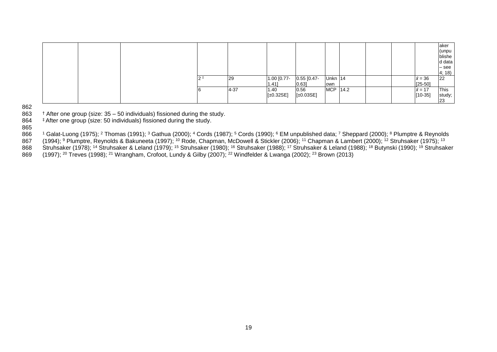|  |  |      |             |               |          |  |                | laker     |
|--|--|------|-------------|---------------|----------|--|----------------|-----------|
|  |  |      |             |               |          |  |                | (unpu     |
|  |  |      |             |               |          |  |                | blishe    |
|  |  |      |             |               |          |  |                | d data    |
|  |  |      |             |               |          |  |                | $-$ see   |
|  |  |      |             |               |          |  |                | 4; 18)    |
|  |  | 29   | 1.00 [0.77- | $0.55$ [0.47- | Unkn 14  |  | $\bar{x} = 36$ | <b>22</b> |
|  |  |      | 1.41]       | $0.63$ ]      | own      |  | $[25 - 50]$    |           |
|  |  | 4-37 | 1.40        | 0.56          | MCP 14.2 |  | $\bar{x} = 17$ | This      |
|  |  |      | [t0.32SE]   | [±0.03SE]     |          |  | $[10-35]$      | study,    |
|  |  |      |             |               |          |  |                | 23        |

862<br>863

863  $+$  After one group (size:  $35 - 50$  individuals) fissioned during the study.<br>864  $+$  After one group (size: 50 individuals) fissioned during the study.

<sup>‡</sup> After one group (size: 50 individuals) fissioned during the study.

865<br>866

866 <sup>1</sup> Galat-Luong (1975); <sup>2</sup> Thomas (1991); <sup>3</sup> Gathua (2000); <sup>4</sup> Cords (1987); <sup>5</sup> Cords (1990); <sup>6</sup> EM unpublished data; <sup>7</sup> Sheppard (2000); <sup>8</sup> Plumptre & Reynolds 867 (1994); <sup>9</sup> Plumptre, Reynolds & Bakuneeta (1997); <sup>10</sup> Rode, Chapman, McDowell & Stickler (2006); <sup>11</sup> Chapman & Lambert (2000); <sup>12</sup> Struhsaker (1975); <sup>13</sup>

868 Struhsaker (1978); <sup>14</sup> Struhsaker & Leland (1979); <sup>15</sup> Struhsaker (1980); <sup>16</sup> Struhsaker (1988); <sup>17</sup> Struhsaker & Leland (1988); <sup>18</sup> Butynski (1990); <sup>19</sup> Struhsaker 869 (1997); <sup>20</sup> Treves (1998); <sup>21</sup> Wrangham, Crofoot, Lundy & Gilby (2007); <sup>22</sup> Windfelder & Lwanga (2002); <sup>23</sup> Brown (2013)